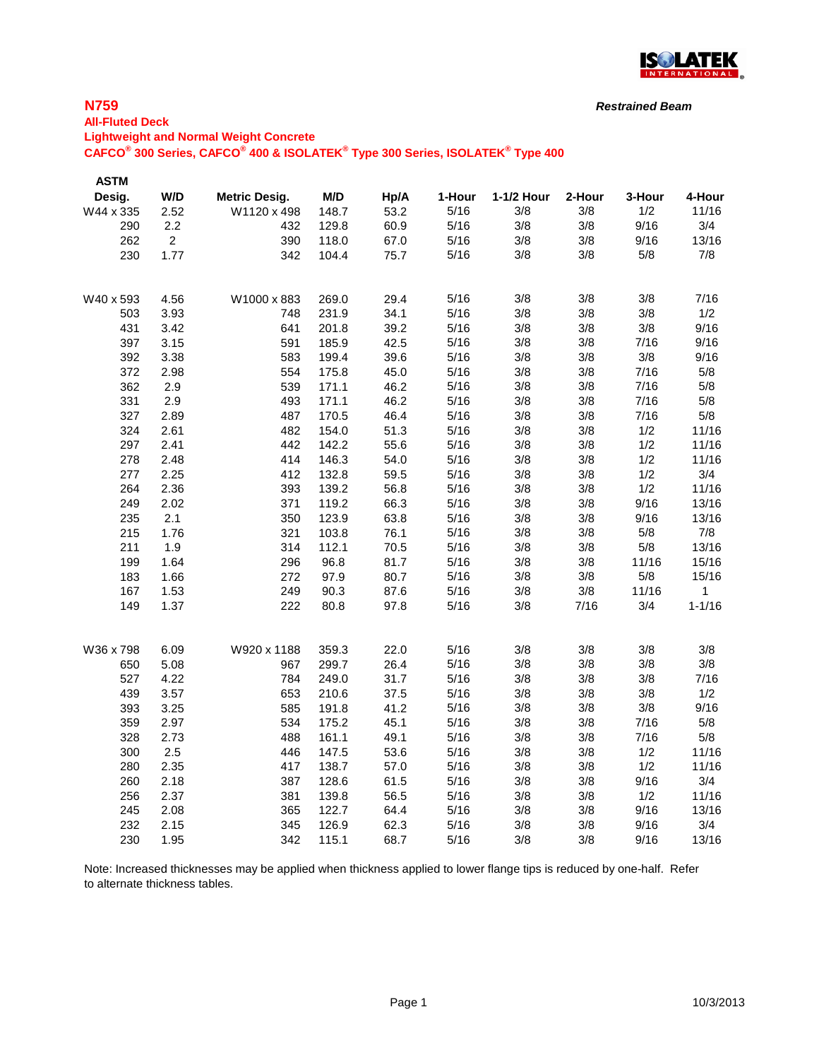

#### **All-Fluted Deck Lightweight and Normal Weight Concrete CAFCO® 300 Series, CAFCO® 400 & ISOLATEK® Type 300 Series, ISOLATEK® Type 400**

| <b>ASTM</b> |                |                      |       |      |        |            |        |        |            |
|-------------|----------------|----------------------|-------|------|--------|------------|--------|--------|------------|
| Desig.      | W/D            | <b>Metric Desig.</b> | M/D   | Hp/A | 1-Hour | 1-1/2 Hour | 2-Hour | 3-Hour | 4-Hour     |
| W44 x 335   | 2.52           | W1120 x 498          | 148.7 | 53.2 | 5/16   | 3/8        | 3/8    | 1/2    | 11/16      |
| 290         | 2.2            | 432                  | 129.8 | 60.9 | 5/16   | 3/8        | 3/8    | 9/16   | 3/4        |
| 262         | $\overline{2}$ | 390                  | 118.0 | 67.0 | 5/16   | 3/8        | 3/8    | 9/16   | 13/16      |
| 230         | 1.77           | 342                  | 104.4 | 75.7 | 5/16   | 3/8        | 3/8    | 5/8    | 7/8        |
| W40 x 593   | 4.56           | W1000 x 883          | 269.0 | 29.4 | 5/16   | 3/8        | 3/8    | 3/8    | 7/16       |
| 503         | 3.93           | 748                  | 231.9 | 34.1 | 5/16   | 3/8        | 3/8    | 3/8    | 1/2        |
| 431         | 3.42           | 641                  | 201.8 | 39.2 | 5/16   | 3/8        | 3/8    | 3/8    | 9/16       |
| 397         | 3.15           | 591                  | 185.9 | 42.5 | 5/16   | 3/8        | 3/8    | 7/16   | 9/16       |
| 392         | 3.38           | 583                  | 199.4 | 39.6 | 5/16   | 3/8        | 3/8    | 3/8    | 9/16       |
| 372         | 2.98           | 554                  | 175.8 | 45.0 | 5/16   | 3/8        | 3/8    | 7/16   | 5/8        |
| 362         | 2.9            | 539                  | 171.1 | 46.2 | 5/16   | 3/8        | 3/8    | 7/16   | 5/8        |
| 331         | 2.9            | 493                  | 171.1 | 46.2 | 5/16   | 3/8        | 3/8    | 7/16   | 5/8        |
| 327         | 2.89           | 487                  | 170.5 | 46.4 | 5/16   | 3/8        | 3/8    | 7/16   | 5/8        |
| 324         | 2.61           | 482                  | 154.0 | 51.3 | 5/16   | 3/8        | 3/8    | 1/2    | 11/16      |
| 297         | 2.41           | 442                  | 142.2 | 55.6 | 5/16   | 3/8        | 3/8    | 1/2    | 11/16      |
| 278         | 2.48           | 414                  | 146.3 | 54.0 | 5/16   | 3/8        | 3/8    | 1/2    | 11/16      |
| 277         | 2.25           | 412                  | 132.8 | 59.5 | 5/16   | 3/8        | 3/8    | 1/2    | 3/4        |
| 264         | 2.36           | 393                  | 139.2 | 56.8 | 5/16   | 3/8        | 3/8    | 1/2    | 11/16      |
| 249         | 2.02           | 371                  | 119.2 | 66.3 | 5/16   | 3/8        | 3/8    | 9/16   | 13/16      |
| 235         | 2.1            | 350                  | 123.9 | 63.8 | 5/16   | 3/8        | 3/8    | 9/16   | 13/16      |
| 215         | 1.76           | 321                  | 103.8 | 76.1 | 5/16   | 3/8        | 3/8    | 5/8    | 7/8        |
| 211         | 1.9            | 314                  | 112.1 | 70.5 | 5/16   | 3/8        | 3/8    | 5/8    | 13/16      |
| 199         | 1.64           | 296                  | 96.8  | 81.7 | 5/16   | 3/8        | 3/8    | 11/16  | 15/16      |
| 183         | 1.66           | 272                  | 97.9  | 80.7 | 5/16   | 3/8        | 3/8    | 5/8    | 15/16      |
| 167         | 1.53           | 249                  | 90.3  | 87.6 | 5/16   | 3/8        | 3/8    | 11/16  | 1          |
| 149         | 1.37           | 222                  | 80.8  | 97.8 | 5/16   | 3/8        | 7/16   | 3/4    | $1 - 1/16$ |
| W36 x 798   | 6.09           | W920 x 1188          | 359.3 | 22.0 | 5/16   | 3/8        | 3/8    | 3/8    | 3/8        |
| 650         | 5.08           | 967                  | 299.7 | 26.4 | 5/16   | 3/8        | 3/8    | 3/8    | 3/8        |
| 527         | 4.22           | 784                  | 249.0 | 31.7 | 5/16   | 3/8        | 3/8    | 3/8    | 7/16       |
| 439         | 3.57           | 653                  | 210.6 | 37.5 | 5/16   | 3/8        | 3/8    | 3/8    | 1/2        |
| 393         | 3.25           | 585                  | 191.8 | 41.2 | 5/16   | 3/8        | 3/8    | 3/8    | 9/16       |
| 359         | 2.97           | 534                  | 175.2 | 45.1 | 5/16   | 3/8        | 3/8    | 7/16   | 5/8        |
| 328         | 2.73           | 488                  | 161.1 | 49.1 | 5/16   | 3/8        | 3/8    | 7/16   | 5/8        |
| 300         | 2.5            | 446                  | 147.5 | 53.6 | 5/16   | 3/8        | 3/8    | 1/2    | 11/16      |
| 280         | 2.35           | 417                  | 138.7 | 57.0 | 5/16   | 3/8        | 3/8    | 1/2    | 11/16      |
| 260         | 2.18           | 387                  | 128.6 | 61.5 | 5/16   | 3/8        | 3/8    | 9/16   | 3/4        |
| 256         | 2.37           | 381                  | 139.8 | 56.5 | 5/16   | 3/8        | 3/8    | 1/2    | 11/16      |
| 245         | 2.08           | 365                  | 122.7 | 64.4 | 5/16   | 3/8        | 3/8    | 9/16   | 13/16      |
| 232         | 2.15           | 345                  | 126.9 | 62.3 | 5/16   | 3/8        | 3/8    | 9/16   | 3/4        |
| 230         | 1.95           | 342                  | 115.1 | 68.7 | 5/16   | 3/8        | 3/8    | 9/16   | 13/16      |

Note: Increased thicknesses may be applied when thickness applied to lower flange tips is reduced by one-half. Refer to alternate thickness tables.

*Restrained Beam*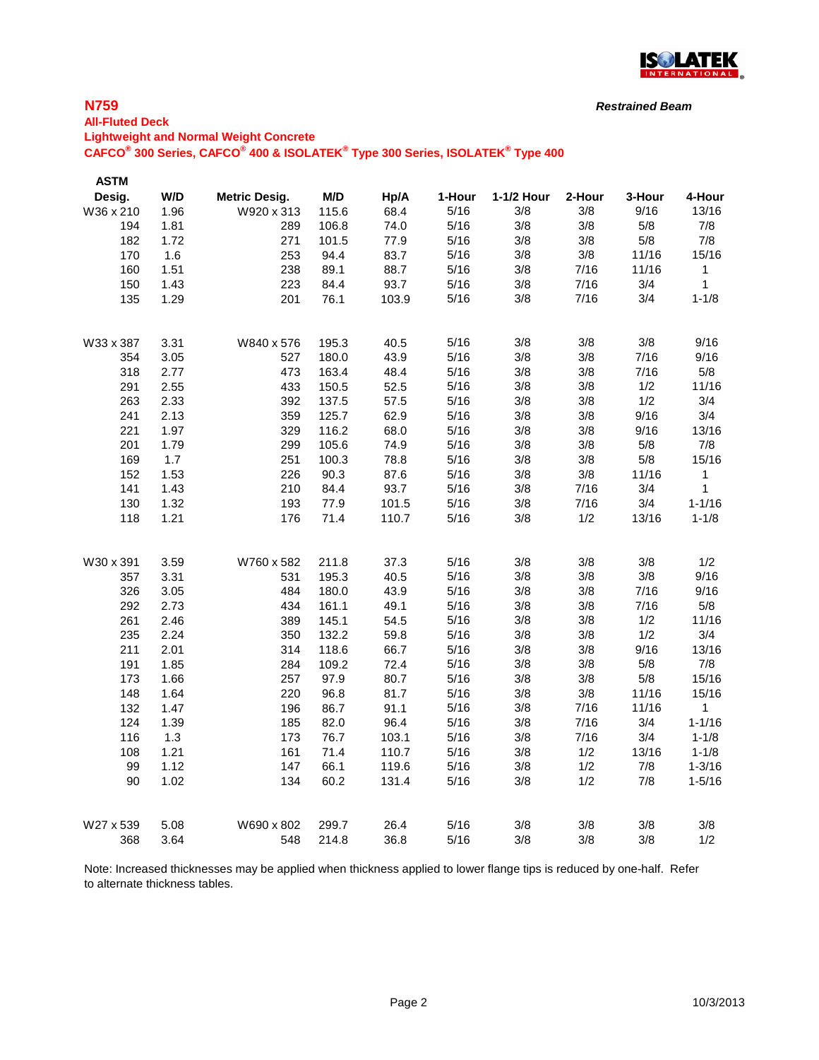

# **N759**

#### **All-Fluted Deck**

**Lightweight and Normal Weight Concrete**

**CAFCO® 300 Series, CAFCO® 400 & ISOLATEK® Type 300 Series, ISOLATEK® Type 400**

| <b>ASTM</b> |      |                      |       |       |        |            |        |        |              |
|-------------|------|----------------------|-------|-------|--------|------------|--------|--------|--------------|
| Desig.      | W/D  | <b>Metric Desig.</b> | M/D   | Hp/A  | 1-Hour | 1-1/2 Hour | 2-Hour | 3-Hour | 4-Hour       |
| W36 x 210   | 1.96 | W920 x 313           | 115.6 | 68.4  | 5/16   | 3/8        | 3/8    | 9/16   | 13/16        |
| 194         | 1.81 | 289                  | 106.8 | 74.0  | 5/16   | 3/8        | 3/8    | 5/8    | 7/8          |
| 182         | 1.72 | 271                  | 101.5 | 77.9  | 5/16   | 3/8        | 3/8    | 5/8    | 7/8          |
| 170         | 1.6  | 253                  | 94.4  | 83.7  | 5/16   | 3/8        | 3/8    | 11/16  | 15/16        |
| 160         | 1.51 | 238                  | 89.1  | 88.7  | 5/16   | 3/8        | 7/16   | 11/16  | $\mathbf{1}$ |
| 150         | 1.43 | 223                  | 84.4  | 93.7  | 5/16   | 3/8        | 7/16   | 3/4    | $\mathbf 1$  |
| 135         | 1.29 | 201                  | 76.1  | 103.9 | 5/16   | 3/8        | 7/16   | 3/4    | $1 - 1/8$    |
| W33 x 387   | 3.31 | W840 x 576           | 195.3 | 40.5  | 5/16   | 3/8        | 3/8    | 3/8    | 9/16         |
| 354         | 3.05 | 527                  | 180.0 | 43.9  | 5/16   | 3/8        | 3/8    | 7/16   | 9/16         |
| 318         | 2.77 | 473                  | 163.4 | 48.4  | 5/16   | 3/8        | 3/8    | 7/16   | 5/8          |
| 291         | 2.55 | 433                  | 150.5 | 52.5  | 5/16   | 3/8        | 3/8    | 1/2    | 11/16        |
| 263         | 2.33 | 392                  | 137.5 | 57.5  | 5/16   | 3/8        | 3/8    | 1/2    | 3/4          |
| 241         | 2.13 | 359                  | 125.7 | 62.9  | 5/16   | 3/8        | 3/8    | 9/16   | 3/4          |
| 221         | 1.97 | 329                  | 116.2 | 68.0  | 5/16   | 3/8        | 3/8    | 9/16   | 13/16        |
| 201         | 1.79 | 299                  | 105.6 | 74.9  | 5/16   | 3/8        | 3/8    | 5/8    | 7/8          |
| 169         | 1.7  | 251                  | 100.3 | 78.8  | 5/16   | 3/8        | 3/8    | 5/8    | 15/16        |
| 152         | 1.53 | 226                  | 90.3  | 87.6  | 5/16   | 3/8        | 3/8    | 11/16  | $\mathbf{1}$ |
| 141         | 1.43 | 210                  | 84.4  | 93.7  | 5/16   | 3/8        | 7/16   | 3/4    | $\mathbf{1}$ |
| 130         | 1.32 | 193                  | 77.9  | 101.5 | 5/16   | 3/8        | 7/16   | 3/4    | $1 - 1/16$   |
| 118         | 1.21 | 176                  | 71.4  | 110.7 | 5/16   | 3/8        | 1/2    | 13/16  | $1 - 1/8$    |
| W30 x 391   | 3.59 | W760 x 582           | 211.8 | 37.3  | 5/16   | 3/8        | 3/8    | 3/8    | 1/2          |
| 357         | 3.31 | 531                  | 195.3 | 40.5  | 5/16   | 3/8        | 3/8    | 3/8    | 9/16         |
| 326         | 3.05 | 484                  | 180.0 | 43.9  | 5/16   | 3/8        | 3/8    | 7/16   | 9/16         |
| 292         | 2.73 | 434                  | 161.1 | 49.1  | 5/16   | 3/8        | 3/8    | 7/16   | 5/8          |
| 261         | 2.46 | 389                  | 145.1 | 54.5  | 5/16   | 3/8        | 3/8    | 1/2    | 11/16        |
| 235         | 2.24 | 350                  | 132.2 | 59.8  | 5/16   | 3/8        | 3/8    | 1/2    | 3/4          |
| 211         | 2.01 | 314                  | 118.6 | 66.7  | 5/16   | 3/8        | 3/8    | 9/16   | 13/16        |
| 191         | 1.85 | 284                  | 109.2 | 72.4  | 5/16   | 3/8        | 3/8    | 5/8    | 7/8          |
| 173         | 1.66 | 257                  | 97.9  | 80.7  | 5/16   | 3/8        | 3/8    | 5/8    | 15/16        |
| 148         | 1.64 | 220                  | 96.8  | 81.7  | 5/16   | 3/8        | 3/8    | 11/16  | 15/16        |
| 132         | 1.47 | 196                  | 86.7  | 91.1  | 5/16   | $3/8$      | 7/16   | 11/16  | $\mathbf{1}$ |
| 124         | 1.39 | 185                  | 82.0  | 96.4  | 5/16   | 3/8        | 7/16   | 3/4    | $1 - 1/16$   |
| 116         | 1.3  | 173                  | 76.7  | 103.1 | 5/16   | 3/8        | 7/16   | 3/4    | $1 - 1/8$    |
| 108         | 1.21 | 161                  | 71.4  | 110.7 | 5/16   | 3/8        | 1/2    | 13/16  | $1 - 1/8$    |
| 99          | 1.12 | 147                  | 66.1  | 119.6 | 5/16   | 3/8        | 1/2    | 7/8    | $1 - 3/16$   |
| 90          | 1.02 | 134                  | 60.2  | 131.4 | 5/16   | 3/8        | 1/2    | 7/8    | $1 - 5/16$   |
| W27 x 539   | 5.08 | W690 x 802           | 299.7 | 26.4  | 5/16   | 3/8        | 3/8    | 3/8    | 3/8          |
| 368         | 3.64 | 548                  | 214.8 | 36.8  | 5/16   | 3/8        | 3/8    | 3/8    | 1/2          |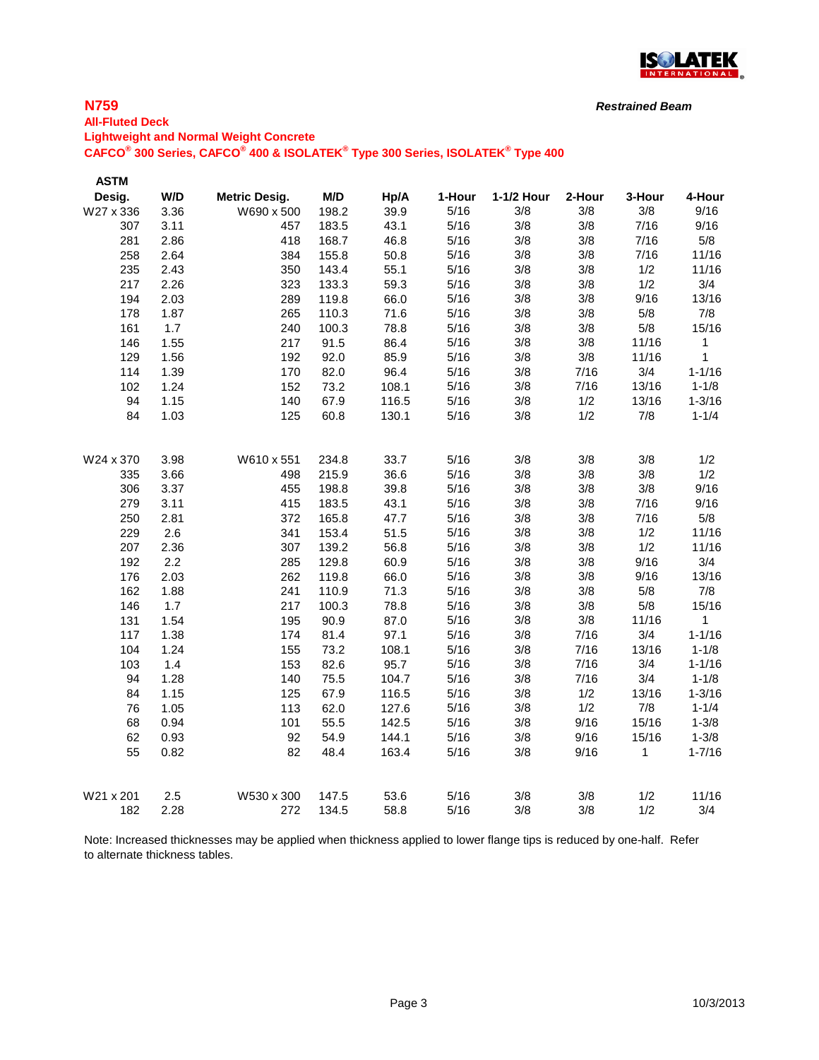

#### *Restrained Beam*

**All-Fluted Deck Lightweight and Normal Weight Concrete**

**CAFCO® 300 Series, CAFCO® 400 & ISOLATEK® Type 300 Series, ISOLATEK® Type 400**

| <b>ASTM</b> |      |                      |       |       |        |            |        |              |            |
|-------------|------|----------------------|-------|-------|--------|------------|--------|--------------|------------|
| Desig.      | W/D  | <b>Metric Desig.</b> | M/D   | Hp/A  | 1-Hour | 1-1/2 Hour | 2-Hour | 3-Hour       | 4-Hour     |
| W27 x 336   | 3.36 | W690 x 500           | 198.2 | 39.9  | 5/16   | 3/8        | 3/8    | 3/8          | 9/16       |
| 307         | 3.11 | 457                  | 183.5 | 43.1  | 5/16   | 3/8        | 3/8    | 7/16         | 9/16       |
| 281         | 2.86 | 418                  | 168.7 | 46.8  | 5/16   | 3/8        | 3/8    | 7/16         | 5/8        |
| 258         | 2.64 | 384                  | 155.8 | 50.8  | 5/16   | 3/8        | 3/8    | 7/16         | 11/16      |
| 235         | 2.43 | 350                  | 143.4 | 55.1  | 5/16   | 3/8        | 3/8    | 1/2          | 11/16      |
| 217         | 2.26 | 323                  | 133.3 | 59.3  | 5/16   | 3/8        | 3/8    | 1/2          | 3/4        |
| 194         | 2.03 | 289                  | 119.8 | 66.0  | 5/16   | 3/8        | 3/8    | 9/16         | 13/16      |
| 178         | 1.87 | 265                  | 110.3 | 71.6  | 5/16   | 3/8        | 3/8    | 5/8          | 7/8        |
| 161         | 1.7  | 240                  | 100.3 | 78.8  | 5/16   | 3/8        | 3/8    | 5/8          | 15/16      |
| 146         | 1.55 | 217                  | 91.5  | 86.4  | 5/16   | 3/8        | 3/8    | 11/16        | 1          |
| 129         | 1.56 | 192                  | 92.0  | 85.9  | 5/16   | 3/8        | 3/8    | 11/16        | 1          |
| 114         | 1.39 | 170                  | 82.0  | 96.4  | 5/16   | 3/8        | 7/16   | 3/4          | $1 - 1/16$ |
| 102         | 1.24 | 152                  | 73.2  | 108.1 | 5/16   | 3/8        | 7/16   | 13/16        | $1 - 1/8$  |
| 94          | 1.15 | 140                  | 67.9  | 116.5 | 5/16   | 3/8        | 1/2    | 13/16        | $1 - 3/16$ |
| 84          | 1.03 | 125                  | 60.8  | 130.1 | 5/16   | 3/8        | 1/2    | 7/8          | $1 - 1/4$  |
| W24 x 370   | 3.98 | W610 x 551           | 234.8 | 33.7  | 5/16   | 3/8        | 3/8    | 3/8          | 1/2        |
| 335         | 3.66 | 498                  | 215.9 | 36.6  | 5/16   | 3/8        | 3/8    | 3/8          | 1/2        |
| 306         | 3.37 | 455                  | 198.8 | 39.8  | 5/16   | 3/8        | 3/8    | 3/8          | 9/16       |
| 279         | 3.11 | 415                  | 183.5 | 43.1  | 5/16   | 3/8        | 3/8    | 7/16         | 9/16       |
| 250         | 2.81 | 372                  | 165.8 | 47.7  | 5/16   | 3/8        | 3/8    | 7/16         | 5/8        |
| 229         | 2.6  | 341                  | 153.4 | 51.5  | 5/16   | 3/8        | 3/8    | 1/2          | 11/16      |
| 207         | 2.36 | 307                  | 139.2 | 56.8  | 5/16   | 3/8        | 3/8    | 1/2          | 11/16      |
| 192         | 2.2  | 285                  | 129.8 | 60.9  | 5/16   | 3/8        | 3/8    | 9/16         | 3/4        |
| 176         | 2.03 | 262                  | 119.8 | 66.0  | 5/16   | 3/8        | 3/8    | 9/16         | 13/16      |
| 162         | 1.88 | 241                  | 110.9 | 71.3  | 5/16   | 3/8        | 3/8    | 5/8          | 7/8        |
| 146         | 1.7  | 217                  | 100.3 | 78.8  | 5/16   | 3/8        | 3/8    | 5/8          | 15/16      |
| 131         | 1.54 | 195                  | 90.9  | 87.0  | 5/16   | 3/8        | $3/8$  | 11/16        | 1          |
| 117         | 1.38 | 174                  | 81.4  | 97.1  | 5/16   | 3/8        | 7/16   | 3/4          | $1 - 1/16$ |
| 104         | 1.24 | 155                  | 73.2  | 108.1 | 5/16   | 3/8        | 7/16   | 13/16        | $1 - 1/8$  |
| 103         | 1.4  | 153                  | 82.6  | 95.7  | 5/16   | 3/8        | 7/16   | 3/4          | $1 - 1/16$ |
| 94          | 1.28 | 140                  | 75.5  | 104.7 | 5/16   | 3/8        | 7/16   | 3/4          | $1 - 1/8$  |
| 84          | 1.15 | 125                  | 67.9  | 116.5 | 5/16   | 3/8        | 1/2    | 13/16        | $1 - 3/16$ |
| 76          | 1.05 | 113                  | 62.0  | 127.6 | 5/16   | 3/8        | 1/2    | 7/8          | $1 - 1/4$  |
| 68          | 0.94 | 101                  | 55.5  | 142.5 | 5/16   | 3/8        | 9/16   | 15/16        | $1 - 3/8$  |
| 62          | 0.93 | 92                   | 54.9  | 144.1 | 5/16   | 3/8        | 9/16   | 15/16        | $1 - 3/8$  |
| 55          | 0.82 | 82                   | 48.4  | 163.4 | 5/16   | 3/8        | 9/16   | $\mathbf{1}$ | $1 - 7/16$ |
| W21 x 201   | 2.5  | W530 x 300           | 147.5 | 53.6  | 5/16   | 3/8        | 3/8    | 1/2          | 11/16      |
| 182         | 2.28 | 272                  | 134.5 | 58.8  | 5/16   | 3/8        | 3/8    | 1/2          | 3/4        |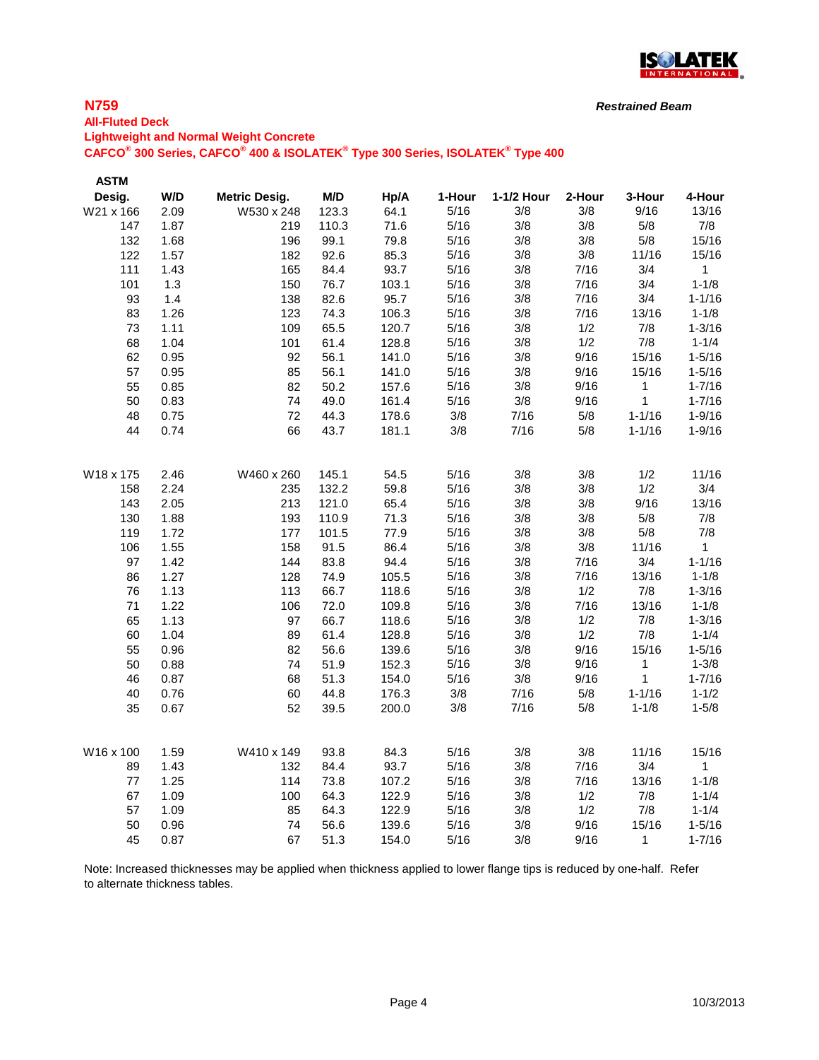

# **N759**

**All-Fluted Deck**

# **Lightweight and Normal Weight Concrete**

**CAFCO® 300 Series, CAFCO® 400 & ISOLATEK® Type 300 Series, ISOLATEK® Type 400**

| <b>ASTM</b> |      |                      |       |       |        |            |        |            |              |
|-------------|------|----------------------|-------|-------|--------|------------|--------|------------|--------------|
| Desig.      | W/D  | <b>Metric Desig.</b> | M/D   | Hp/A  | 1-Hour | 1-1/2 Hour | 2-Hour | 3-Hour     | 4-Hour       |
| W21 x 166   | 2.09 | W530 x 248           | 123.3 | 64.1  | 5/16   | 3/8        | 3/8    | 9/16       | 13/16        |
| 147         | 1.87 | 219                  | 110.3 | 71.6  | 5/16   | 3/8        | 3/8    | 5/8        | 7/8          |
| 132         | 1.68 | 196                  | 99.1  | 79.8  | 5/16   | 3/8        | 3/8    | 5/8        | 15/16        |
| 122         | 1.57 | 182                  | 92.6  | 85.3  | 5/16   | 3/8        | 3/8    | 11/16      | 15/16        |
| 111         | 1.43 | 165                  | 84.4  | 93.7  | 5/16   | 3/8        | 7/16   | 3/4        | $\mathbf{1}$ |
| 101         | 1.3  | 150                  | 76.7  | 103.1 | 5/16   | 3/8        | 7/16   | 3/4        | $1 - 1/8$    |
| 93          | 1.4  | 138                  | 82.6  | 95.7  | 5/16   | 3/8        | 7/16   | 3/4        | $1 - 1/16$   |
| 83          | 1.26 | 123                  | 74.3  | 106.3 | 5/16   | 3/8        | 7/16   | 13/16      | $1 - 1/8$    |
| 73          | 1.11 | 109                  | 65.5  | 120.7 | 5/16   | 3/8        | 1/2    | 7/8        | $1 - 3/16$   |
| 68          | 1.04 | 101                  | 61.4  | 128.8 | 5/16   | 3/8        | 1/2    | 7/8        | $1 - 1/4$    |
| 62          | 0.95 | 92                   | 56.1  | 141.0 | 5/16   | 3/8        | 9/16   | 15/16      | $1 - 5/16$   |
| 57          | 0.95 | 85                   | 56.1  | 141.0 | 5/16   | 3/8        | 9/16   | 15/16      | $1 - 5/16$   |
| 55          | 0.85 | 82                   | 50.2  | 157.6 | 5/16   | 3/8        | 9/16   | 1          | $1 - 7/16$   |
| 50          | 0.83 | 74                   | 49.0  | 161.4 | 5/16   | 3/8        | 9/16   | 1          | $1 - 7/16$   |
| 48          | 0.75 | 72                   | 44.3  | 178.6 | 3/8    | 7/16       | 5/8    | $1 - 1/16$ | $1 - 9/16$   |
| 44          | 0.74 | 66                   | 43.7  | 181.1 | 3/8    | 7/16       | 5/8    | $1 - 1/16$ | $1 - 9/16$   |
|             |      |                      |       |       |        |            |        |            |              |
| W18 x 175   | 2.46 | W460 x 260           | 145.1 | 54.5  | 5/16   | 3/8        | 3/8    | 1/2        | 11/16        |
| 158         | 2.24 | 235                  | 132.2 | 59.8  | 5/16   | 3/8        | 3/8    | 1/2        | 3/4          |
| 143         | 2.05 | 213                  | 121.0 | 65.4  | 5/16   | 3/8        | 3/8    | 9/16       | 13/16        |
| 130         | 1.88 | 193                  | 110.9 | 71.3  | 5/16   | 3/8        | 3/8    | 5/8        | 7/8          |
| 119         | 1.72 | 177                  | 101.5 | 77.9  | 5/16   | 3/8        | 3/8    | 5/8        | 7/8          |
| 106         | 1.55 | 158                  | 91.5  | 86.4  | 5/16   | 3/8        | 3/8    | 11/16      | $\mathbf 1$  |
| 97          | 1.42 | 144                  | 83.8  | 94.4  | 5/16   | 3/8        | 7/16   | 3/4        | $1 - 1/16$   |
| 86          | 1.27 | 128                  | 74.9  | 105.5 | 5/16   | 3/8        | 7/16   | 13/16      | $1 - 1/8$    |
| 76          | 1.13 | 113                  | 66.7  | 118.6 | 5/16   | 3/8        | 1/2    | 7/8        | $1 - 3/16$   |
| 71          | 1.22 | 106                  | 72.0  | 109.8 | 5/16   | 3/8        | 7/16   | 13/16      | $1 - 1/8$    |
| 65          | 1.13 | 97                   | 66.7  | 118.6 | 5/16   | 3/8        | 1/2    | 7/8        | $1 - 3/16$   |
| 60          | 1.04 | 89                   | 61.4  | 128.8 | 5/16   | 3/8        | 1/2    | 7/8        | $1 - 1/4$    |
| 55          | 0.96 | 82                   | 56.6  | 139.6 | 5/16   | 3/8        | 9/16   | 15/16      | $1 - 5/16$   |
| 50          | 0.88 | 74                   | 51.9  | 152.3 | 5/16   | 3/8        | 9/16   | 1          | $1 - 3/8$    |
| 46          | 0.87 | 68                   | 51.3  | 154.0 | 5/16   | 3/8        | 9/16   | 1          | $1 - 7/16$   |
| 40          | 0.76 | 60                   | 44.8  | 176.3 | 3/8    | 7/16       | 5/8    | $1 - 1/16$ | $1 - 1/2$    |
| 35          | 0.67 | 52                   | 39.5  | 200.0 | 3/8    | 7/16       | 5/8    | $1 - 1/8$  | $1 - 5/8$    |
|             |      |                      |       |       |        |            |        |            |              |
| W16 x 100   | 1.59 | W410 x 149           | 93.8  | 84.3  | 5/16   | 3/8        | 3/8    | 11/16      | 15/16        |
| 89          | 1.43 | 132                  | 84.4  | 93.7  | 5/16   | 3/8        | 7/16   | 3/4        | $\mathbf{1}$ |
| $77$        | 1.25 | 114                  | 73.8  | 107.2 | 5/16   | 3/8        | 7/16   | 13/16      | $1 - 1/8$    |
| 67          | 1.09 | 100                  | 64.3  | 122.9 | 5/16   | 3/8        | 1/2    | 7/8        | $1 - 1/4$    |
| 57          | 1.09 | 85                   | 64.3  | 122.9 | 5/16   | 3/8        | 1/2    | 7/8        | $1 - 1/4$    |
| 50          | 0.96 | 74                   | 56.6  | 139.6 | 5/16   | 3/8        | 9/16   | 15/16      | $1 - 5/16$   |
| 45          | 0.87 | 67                   | 51.3  | 154.0 | 5/16   | 3/8        | 9/16   | 1          | $1 - 7/16$   |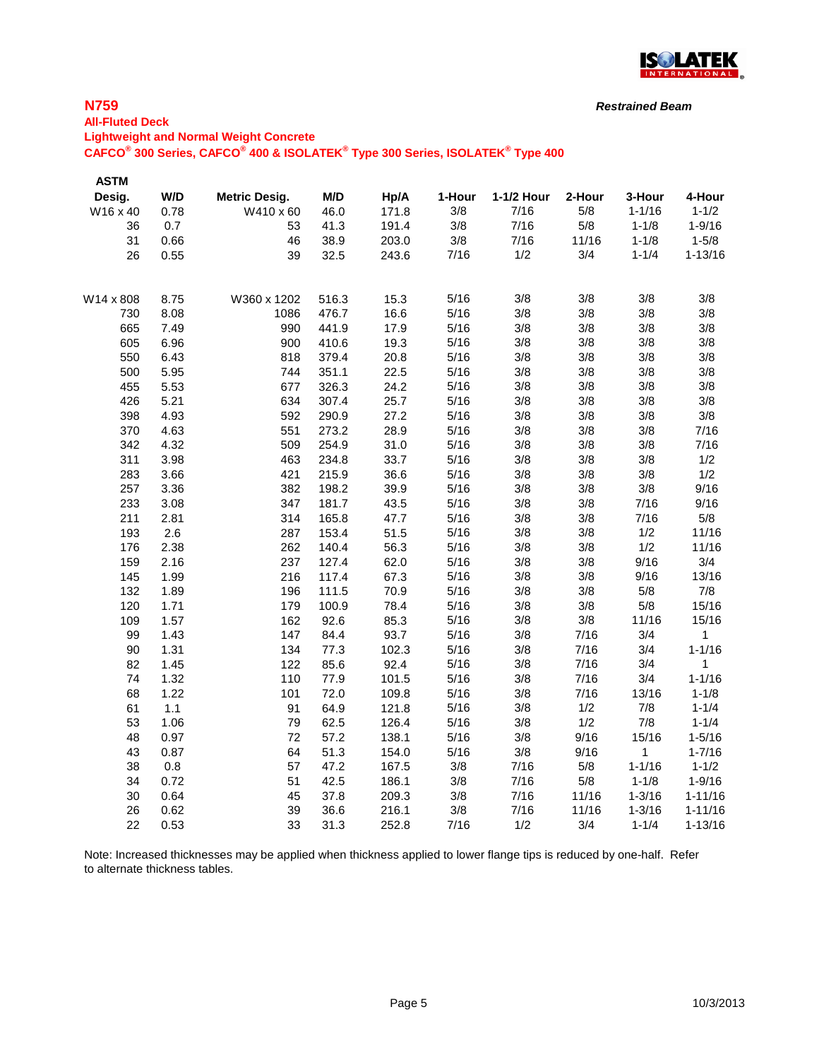

# **N759**

#### **All-Fluted Deck**

**Lightweight and Normal Weight Concrete**

**CAFCO® 300 Series, CAFCO® 400 & ISOLATEK® Type 300 Series, ISOLATEK® Type 400**

| <b>ASTM</b> |              |                      |                |              |              |            |            |              |              |
|-------------|--------------|----------------------|----------------|--------------|--------------|------------|------------|--------------|--------------|
| Desig.      | W/D          | <b>Metric Desig.</b> | M/D            | Hp/A         | 1-Hour       | 1-1/2 Hour | 2-Hour     | 3-Hour       | 4-Hour       |
| W16 x 40    | 0.78         | W410 x 60            | 46.0           | 171.8        | 3/8          | 7/16       | 5/8        | $1 - 1/16$   | $1 - 1/2$    |
| 36          | 0.7          | 53                   | 41.3           | 191.4        | 3/8          | 7/16       | 5/8        | $1 - 1/8$    | $1 - 9/16$   |
| 31          | 0.66         | 46                   | 38.9           | 203.0        | 3/8          | 7/16       | 11/16      | $1 - 1/8$    | $1 - 5/8$    |
| 26          | 0.55         | 39                   | 32.5           | 243.6        | 7/16         | 1/2        | 3/4        | $1 - 1/4$    | $1 - 13/16$  |
| W14 x 808   | 8.75         | W360 x 1202          | 516.3          | 15.3         | 5/16         | 3/8        | 3/8        | 3/8          | 3/8          |
| 730         | 8.08         | 1086                 | 476.7          | 16.6         | 5/16         | 3/8        | 3/8        | 3/8          | 3/8          |
| 665         | 7.49         | 990                  | 441.9          | 17.9         | 5/16         | 3/8        | 3/8        | 3/8          | 3/8          |
| 605         | 6.96         | 900                  | 410.6          | 19.3         | 5/16         | 3/8        | 3/8        | 3/8          | 3/8          |
| 550         | 6.43         | 818                  | 379.4          | 20.8         | 5/16         | 3/8        | 3/8        | 3/8          | 3/8          |
| 500         | 5.95         | 744                  | 351.1          | 22.5         | 5/16         | 3/8        | 3/8        | 3/8          | 3/8          |
| 455         | 5.53         | 677                  | 326.3          | 24.2         | 5/16         | 3/8        | 3/8        | 3/8          | 3/8          |
| 426         | 5.21         | 634                  | 307.4          | 25.7         | 5/16         | 3/8        | 3/8        | 3/8          | 3/8          |
| 398         | 4.93         | 592                  | 290.9          | 27.2         | 5/16         | 3/8        | 3/8        | 3/8          | 3/8          |
| 370         | 4.63         | 551                  | 273.2          | 28.9         | 5/16         | 3/8        | 3/8        | 3/8          | 7/16         |
| 342         | 4.32         | 509                  | 254.9          | 31.0         | 5/16         | 3/8        | 3/8        | 3/8          | 7/16         |
| 311         | 3.98         | 463                  | 234.8          | 33.7         | 5/16         | 3/8        | 3/8        | 3/8          | 1/2          |
| 283         | 3.66         | 421                  | 215.9          | 36.6         | 5/16         | 3/8        | 3/8        | 3/8          | 1/2          |
| 257         | 3.36         | 382                  | 198.2          | 39.9         | 5/16         | 3/8        | 3/8        | 3/8          | 9/16         |
| 233         | 3.08         | 347                  | 181.7          | 43.5         | 5/16         | 3/8        | 3/8        | 7/16         | 9/16         |
| 211         | 2.81         | 314                  | 165.8          | 47.7         | 5/16         | 3/8        | 3/8        | 7/16         | 5/8          |
| 193         | 2.6          | 287                  | 153.4          | 51.5         | 5/16         | 3/8        | 3/8        | 1/2          | 11/16        |
| 176         | 2.38         | 262                  | 140.4          | 56.3         | 5/16         | 3/8        | 3/8        | 1/2          | 11/16        |
| 159         | 2.16         | 237                  | 127.4          | 62.0         | 5/16<br>5/16 | 3/8<br>3/8 | 3/8        | 9/16         | 3/4<br>13/16 |
| 145         | 1.99         | 216<br>196           | 117.4          | 67.3         |              | 3/8        | 3/8        | 9/16         | 7/8          |
| 132<br>120  | 1.89<br>1.71 | 179                  | 111.5<br>100.9 | 70.9<br>78.4 | 5/16<br>5/16 | 3/8        | 3/8        | 5/8<br>5/8   | 15/16        |
|             | 1.57         | 162                  |                |              | 5/16         | 3/8        | 3/8<br>3/8 | 11/16        | 15/16        |
| 109<br>99   | 1.43         | 147                  | 92.6<br>84.4   | 85.3<br>93.7 | 5/16         | 3/8        | 7/16       | 3/4          | $\mathbf{1}$ |
| 90          | 1.31         | 134                  | 77.3           | 102.3        | 5/16         | 3/8        | 7/16       | 3/4          | $1 - 1/16$   |
| 82          | 1.45         | 122                  | 85.6           | 92.4         | 5/16         | 3/8        | 7/16       | 3/4          | $\mathbf{1}$ |
| 74          | 1.32         | 110                  | 77.9           | 101.5        | 5/16         | 3/8        | 7/16       | 3/4          | $1 - 1/16$   |
| 68          | 1.22         | 101                  | 72.0           | 109.8        | 5/16         | 3/8        | 7/16       | 13/16        | $1 - 1/8$    |
| 61          | 1.1          | 91                   | 64.9           | 121.8        | 5/16         | 3/8        | 1/2        | 7/8          | $1 - 1/4$    |
| 53          | 1.06         | 79                   | 62.5           | 126.4        | 5/16         | 3/8        | 1/2        | 7/8          | $1 - 1/4$    |
| 48          | 0.97         | 72                   | 57.2           | 138.1        | 5/16         | 3/8        | 9/16       | 15/16        | $1 - 5/16$   |
| 43          | 0.87         | 64                   | 51.3           | 154.0        | 5/16         | 3/8        | 9/16       | $\mathbf{1}$ | $1 - 7/16$   |
| 38          | 0.8          | 57                   | 47.2           | 167.5        | 3/8          | 7/16       | 5/8        | $1 - 1/16$   | $1 - 1/2$    |
| 34          | 0.72         | 51                   | 42.5           | 186.1        | 3/8          | 7/16       | 5/8        | $1 - 1/8$    | $1 - 9/16$   |
| 30          | 0.64         | 45                   | 37.8           | 209.3        | 3/8          | 7/16       | 11/16      | $1 - 3/16$   | $1 - 11/16$  |
| 26          | 0.62         | 39                   | 36.6           | 216.1        | 3/8          | 7/16       | 11/16      | $1 - 3/16$   | $1 - 11/16$  |
| 22          | 0.53         | 33                   | 31.3           | 252.8        | 7/16         | 1/2        | 3/4        | $1 - 1/4$    | $1 - 13/16$  |
|             |              |                      |                |              |              |            |            |              |              |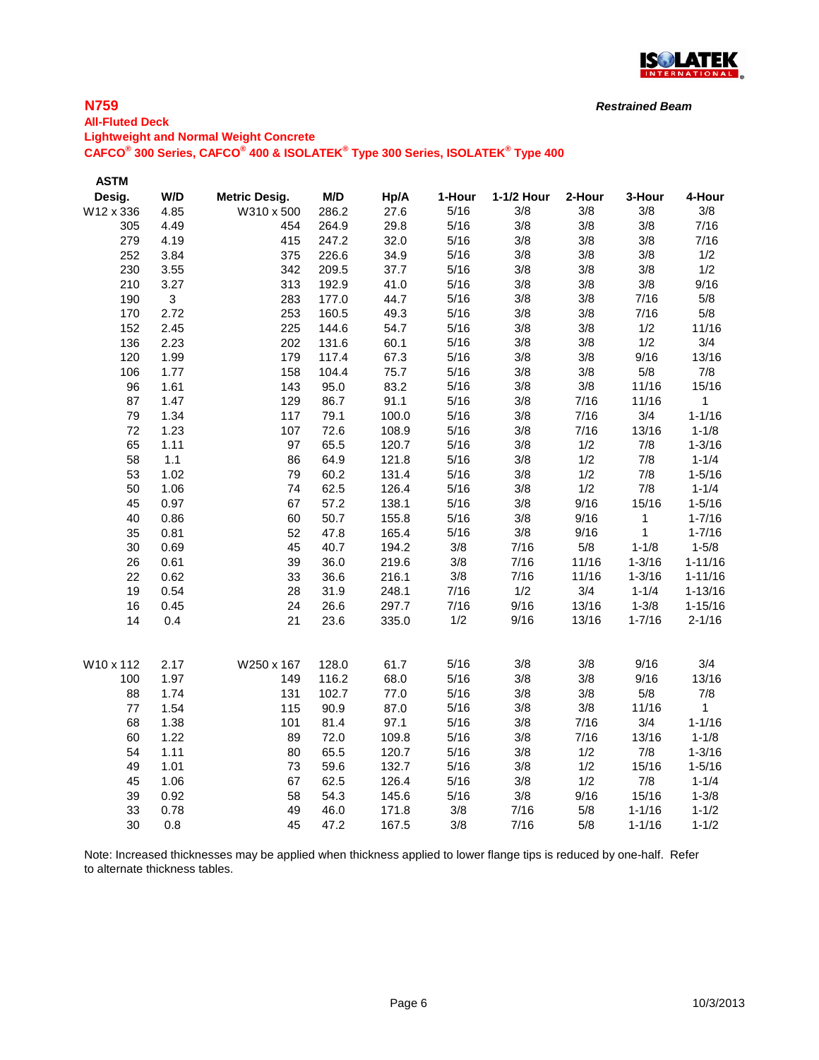

#### **N759**

**ASTM** 

# **All-Fluted Deck Lightweight and Normal Weight Concrete CAFCO® 300 Series, CAFCO® 400 & ISOLATEK® Type 300 Series, ISOLATEK® Type 400**

**Desig. W/D Metric Desig. M/D Hp/A 1-Hour 1-1/2 Hour 2-Hour 3-Hour 4-Hour** W12 x 336 4.85 W310 x 500 286.2 27.6 5/16 3/8 3/8 3/8 3/8 4.49 454 264.9 29.8 5/16 3/8 3/8 3/8 7/16 4.19 415 247.2 32.0 5/16 3/8 3/8 3/8 7/16 3.84 375 226.6 34.9 5/16 3/8 3/8 3/8 1/2 3.55 342 209.5 37.7 5/16 3/8 3/8 3/8 1/2 3.27 313 192.9 41.0 5/16 3/8 3/8 3/8 9/16 3 283 177.0 44.7 5/16 3/8 3/8 7/16 5/8 2.72 253 160.5 49.3 5/16 3/8 3/8 7/16 5/8 2.45 225 144.6 54.7 5/16 3/8 3/8 1/2 11/16 2.23 202 131.6 60.1 5/16 3/8 3/8 1/2 3/4 1.99 179 117.4 67.3 5/16 3/8 3/8 9/16 13/16 1.77 158 104.4 75.7 5/16 3/8 3/8 5/8 7/8 1.61 143 95.0 83.2 5/16 3/8 3/8 11/16 15/16 1.47 129 86.7 91.1 5/16 3/8 7/16 11/16 1 1.34 117 79.1 100.0 5/16 3/8 7/16 3/4 1-1/16 1.23 107 72.6 108.9 5/16 3/8 7/16 13/16 1-1/8 1.11 97 65.5 120.7 5/16 3/8 1/2 7/8 1-3/16 1.1 86 64.9 121.8 5/16 3/8 1/2 7/8 1-1/4 1.02 79 60.2 131.4 5/16 3/8 1/2 7/8 1-5/16 1.06 74 62.5 126.4 5/16 3/8 1/2 7/8 1-1/4 0.97 67 57.2 138.1 5/16 3/8 9/16 15/16 1-5/16 0.86 60 50.7 155.8 5/16 3/8 9/16 1 1-7/16 0.81 52 47.8 165.4 5/16 3/8 9/16 1 1-7/16 0.69 45 40.7 194.2 3/8 7/16 5/8 1-1/8 1-5/8 0.61 39 36.0 219.6 3/8 7/16 11/16 1-3/16 1-11/16 0.62 33 36.6 216.1 3/8 7/16 11/16 1-3/16 1-11/16 0.54 28 31.9 248.1 7/16 1/2 3/4 1-1/4 1-13/16 0.45 24 26.6 297.7 7/16 9/16 13/16 1-3/8 1-15/16 0.4 21 23.6 335.0 1/2 9/16 13/16 1-7/16 2-1/16 W10 x 112 2.17 W250 x 167 128.0 61.7 5/16 3/8 3/8 9/16 3/4 1.97 149 116.2 68.0 5/16 3/8 3/8 9/16 13/16 1.74 131 102.7 77.0 5/16 3/8 3/8 5/8 7/8 1.54 115 90.9 87.0 5/16 3/8 3/8 11/16 1 1.38 101 81.4 97.1 5/16 3/8 7/16 3/4 1-1/16 1.22 89 72.0 109.8 5/16 3/8 7/16 13/16 1-1/8 1.11 80 65.5 120.7 5/16 3/8 1/2 7/8 1-3/16 1.01 73 59.6 132.7 5/16 3/8 1/2 15/16 1-5/16 1.06 67 62.5 126.4 5/16 3/8 1/2 7/8 1-1/4 0.92 58 54.3 145.6 5/16 3/8 9/16 15/16 1-3/8 0.78 49 46.0 171.8 3/8 7/16 5/8 1-1/16 1-1/2 0.8 45 47.2 167.5 3/8 7/16 5/8 1-1/16 1-1/2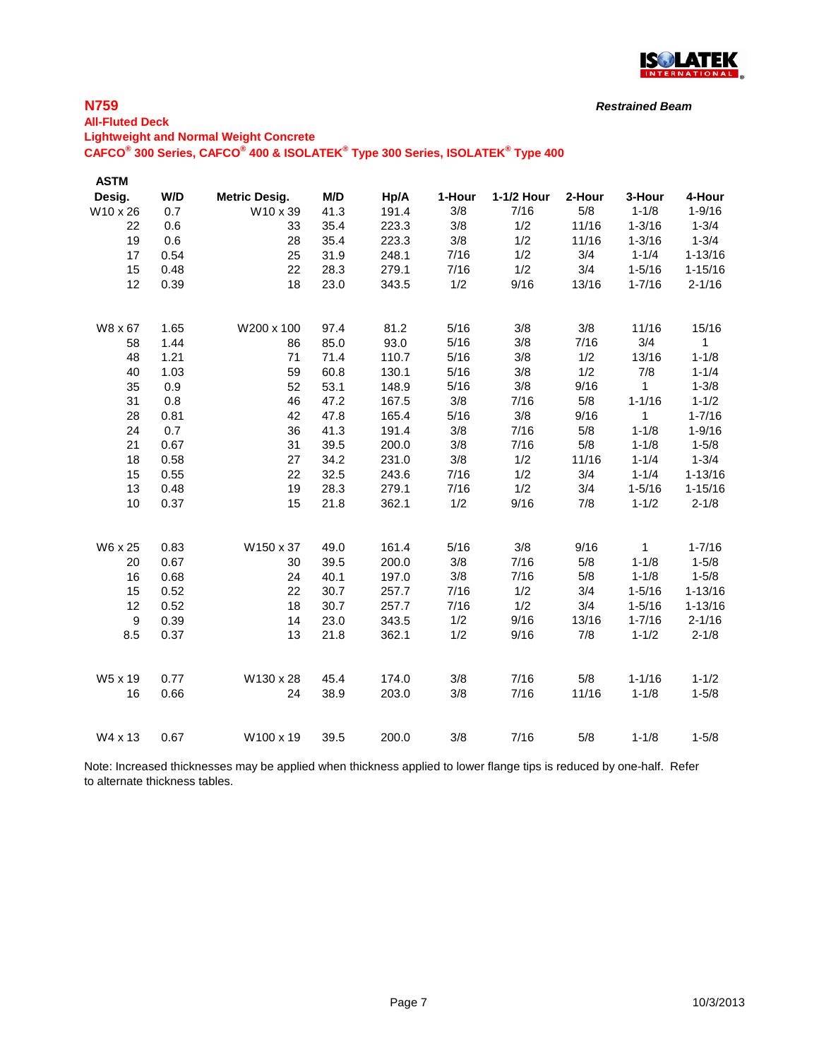

#### *Restrained Beam*

## **All-Fluted Deck Lightweight and Normal Weight Concrete CAFCO® 300 Series, CAFCO® 400 & ISOLATEK® Type 300 Series, ISOLATEK® Type 400**

| <b>ASTM</b>      |      |                      |      |       |        |            |        |              |              |
|------------------|------|----------------------|------|-------|--------|------------|--------|--------------|--------------|
| Desig.           | W/D  | <b>Metric Desig.</b> | M/D  | Hp/A  | 1-Hour | 1-1/2 Hour | 2-Hour | 3-Hour       | 4-Hour       |
| W10 x 26         | 0.7  | W10 x 39             | 41.3 | 191.4 | 3/8    | 7/16       | 5/8    | $1 - 1/8$    | $1 - 9/16$   |
| 22               | 0.6  | 33                   | 35.4 | 223.3 | 3/8    | 1/2        | 11/16  | $1 - 3/16$   | $1 - 3/4$    |
| 19               | 0.6  | 28                   | 35.4 | 223.3 | 3/8    | 1/2        | 11/16  | $1 - 3/16$   | $1 - 3/4$    |
| 17               | 0.54 | 25                   | 31.9 | 248.1 | 7/16   | 1/2        | 3/4    | $1 - 1/4$    | $1 - 13/16$  |
| 15               | 0.48 | 22                   | 28.3 | 279.1 | 7/16   | 1/2        | 3/4    | $1 - 5/16$   | $1 - 15/16$  |
| 12               | 0.39 | 18                   | 23.0 | 343.5 | 1/2    | 9/16       | 13/16  | $1 - 7/16$   | $2 - 1/16$   |
| W8 x 67          | 1.65 | W200 x 100           | 97.4 | 81.2  | 5/16   | 3/8        | 3/8    | 11/16        | 15/16        |
| 58               | 1.44 | 86                   | 85.0 | 93.0  | 5/16   | 3/8        | 7/16   | 3/4          | $\mathbf{1}$ |
| 48               | 1.21 | 71                   | 71.4 | 110.7 | 5/16   | 3/8        | 1/2    | 13/16        | $1 - 1/8$    |
| 40               | 1.03 | 59                   | 60.8 | 130.1 | 5/16   | 3/8        | 1/2    | 7/8          | $1 - 1/4$    |
| 35               | 0.9  | 52                   | 53.1 | 148.9 | 5/16   | 3/8        | 9/16   | 1            | $1 - 3/8$    |
| 31               | 0.8  | 46                   | 47.2 | 167.5 | 3/8    | 7/16       | 5/8    | $1 - 1/16$   | $1 - 1/2$    |
| 28               | 0.81 | 42                   | 47.8 | 165.4 | 5/16   | 3/8        | 9/16   | 1            | $1 - 7/16$   |
| 24               | 0.7  | 36                   | 41.3 | 191.4 | 3/8    | 7/16       | 5/8    | $1 - 1/8$    | $1 - 9/16$   |
| 21               | 0.67 | 31                   | 39.5 | 200.0 | 3/8    | 7/16       | 5/8    | $1 - 1/8$    | $1 - 5/8$    |
| 18               | 0.58 | 27                   | 34.2 | 231.0 | 3/8    | 1/2        | 11/16  | $1 - 1/4$    | $1 - 3/4$    |
| 15               | 0.55 | 22                   | 32.5 | 243.6 | 7/16   | 1/2        | 3/4    | $1 - 1/4$    | $1 - 13/16$  |
| 13               | 0.48 | 19                   | 28.3 | 279.1 | 7/16   | 1/2        | 3/4    | $1 - 5/16$   | $1 - 15/16$  |
| 10               | 0.37 | 15                   | 21.8 | 362.1 | 1/2    | 9/16       | 7/8    | $1 - 1/2$    | $2 - 1/8$    |
| W6 x 25          | 0.83 | W150 x 37            | 49.0 | 161.4 | 5/16   | 3/8        | 9/16   | $\mathbf{1}$ | $1 - 7/16$   |
| 20               | 0.67 | 30                   | 39.5 | 200.0 | 3/8    | 7/16       | 5/8    | $1 - 1/8$    | $1 - 5/8$    |
| 16               | 0.68 | 24                   | 40.1 | 197.0 | 3/8    | 7/16       | 5/8    | $1 - 1/8$    | $1 - 5/8$    |
| 15               | 0.52 | 22                   | 30.7 | 257.7 | 7/16   | 1/2        | 3/4    | $1 - 5/16$   | $1 - 13/16$  |
| 12               | 0.52 | 18                   | 30.7 | 257.7 | 7/16   | 1/2        | 3/4    | $1 - 5/16$   | $1 - 13/16$  |
| $\boldsymbol{9}$ | 0.39 | 14                   | 23.0 | 343.5 | 1/2    | 9/16       | 13/16  | $1 - 7/16$   | $2 - 1/16$   |
| 8.5              | 0.37 | 13                   | 21.8 | 362.1 | 1/2    | 9/16       | 7/8    | $1 - 1/2$    | $2 - 1/8$    |
| W5 x 19          | 0.77 | W130 x 28            | 45.4 | 174.0 | 3/8    | 7/16       | 5/8    | $1 - 1/16$   | $1 - 1/2$    |
| 16               | 0.66 | 24                   | 38.9 | 203.0 | 3/8    | 7/16       | 11/16  | $1 - 1/8$    | $1 - 5/8$    |
| W4 x 13          | 0.67 | W100 x 19            | 39.5 | 200.0 | 3/8    | 7/16       | 5/8    | $1 - 1/8$    | $1 - 5/8$    |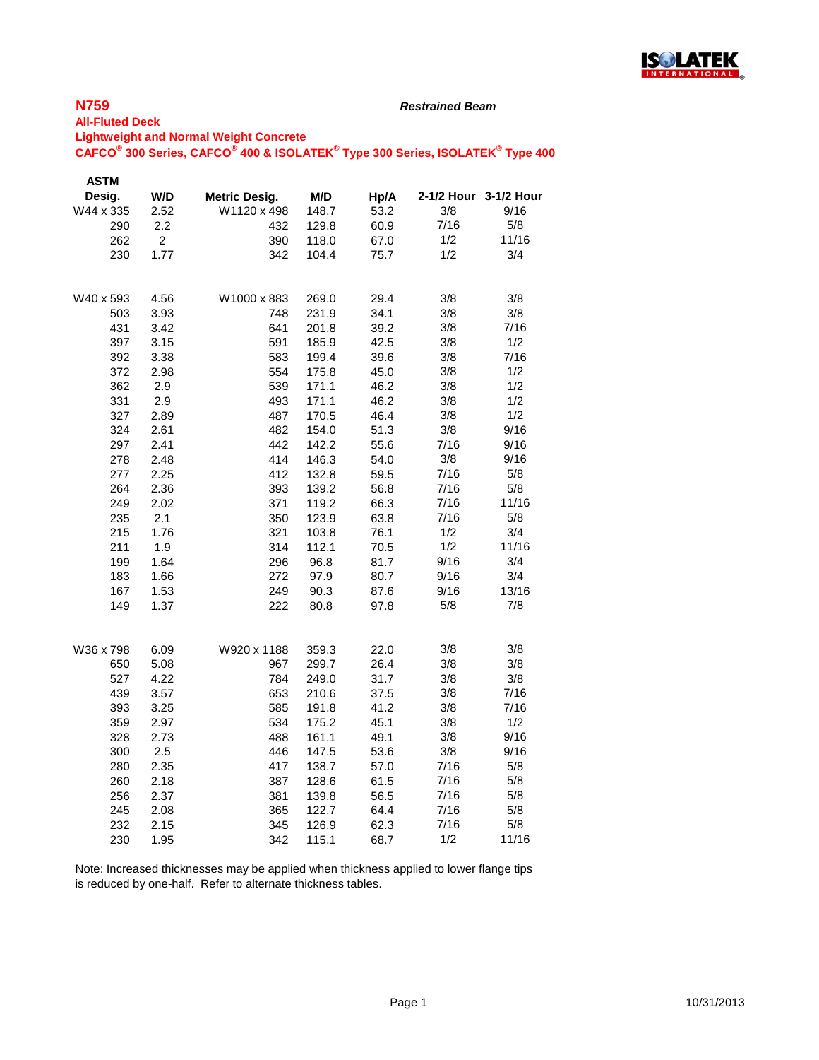

#### *Restrained Beam*

#### **All-Fluted Deck Lightweight and Normal Weight Concrete CAFCO® 300 Series, CAFCO® 400 & ISOLATEK® Type 300 Series, ISOLATEK® Type 400**

| <b>ASTM</b> |                |                      |       |      |      |                       |
|-------------|----------------|----------------------|-------|------|------|-----------------------|
| Desig.      | W/D            | <b>Metric Desig.</b> | M/D   | Hp/A |      | 2-1/2 Hour 3-1/2 Hour |
| W44 x 335   | 2.52           | W1120 x 498          | 148.7 | 53.2 | 3/8  | 9/16                  |
| 290         | 2.2            | 432                  | 129.8 | 60.9 | 7/16 | 5/8                   |
| 262         | $\overline{2}$ | 390                  | 118.0 | 67.0 | 1/2  | 11/16                 |
| 230         | 1.77           | 342                  | 104.4 | 75.7 | 1/2  | 3/4                   |
|             |                |                      |       |      |      |                       |
| W40 x 593   | 4.56           | W1000 x 883          | 269.0 | 29.4 | 3/8  | 3/8                   |
| 503         | 3.93           | 748                  | 231.9 | 34.1 | 3/8  | 3/8                   |
| 431         | 3.42           | 641                  | 201.8 | 39.2 | 3/8  | 7/16                  |
| 397         | 3.15           | 591                  | 185.9 | 42.5 | 3/8  | 1/2                   |
| 392         | 3.38           | 583                  | 199.4 | 39.6 | 3/8  | 7/16                  |
| 372         | 2.98           | 554                  | 175.8 | 45.0 | 3/8  | 1/2                   |
| 362         | 2.9            | 539                  | 171.1 | 46.2 | 3/8  | 1/2                   |
| 331         | 2.9            | 493                  | 171.1 | 46.2 | 3/8  | 1/2                   |
| 327         | 2.89           | 487                  | 170.5 | 46.4 | 3/8  | 1/2                   |
| 324         | 2.61           | 482                  | 154.0 | 51.3 | 3/8  | 9/16                  |
| 297         | 2.41           | 442                  | 142.2 | 55.6 | 7/16 | 9/16                  |
| 278         | 2.48           | 414                  | 146.3 | 54.0 | 3/8  | 9/16                  |
| 277         | 2.25           | 412                  | 132.8 | 59.5 | 7/16 | 5/8                   |
| 264         | 2.36           | 393                  | 139.2 | 56.8 | 7/16 | 5/8                   |
| 249         | 2.02           | 371                  | 119.2 | 66.3 | 7/16 | 11/16                 |
| 235         | 2.1            | 350                  | 123.9 | 63.8 | 7/16 | 5/8                   |
| 215         | 1.76           | 321                  | 103.8 | 76.1 | 1/2  | 3/4                   |
| 211         | 1.9            | 314                  | 112.1 | 70.5 | 1/2  | 11/16                 |
| 199         | 1.64           | 296                  | 96.8  | 81.7 | 9/16 | 3/4                   |
| 183         | 1.66           | 272                  | 97.9  | 80.7 | 9/16 | 3/4                   |
| 167         | 1.53           | 249                  | 90.3  | 87.6 | 9/16 | 13/16                 |
| 149         | 1.37           | 222                  | 80.8  | 97.8 | 5/8  | 7/8                   |
|             |                |                      |       |      |      |                       |
| W36 x 798   | 6.09           | W920 x 1188          | 359.3 | 22.0 | 3/8  | 3/8                   |
| 650         | 5.08           | 967                  | 299.7 | 26.4 | 3/8  | 3/8                   |
| 527         | 4.22           | 784                  | 249.0 | 31.7 | 3/8  | 3/8                   |
| 439         | 3.57           | 653                  | 210.6 | 37.5 | 3/8  | 7/16                  |
| 393         | 3.25           | 585                  | 191.8 | 41.2 | 3/8  | 7/16                  |
| 359         | 2.97           | 534                  | 175.2 | 45.1 | 3/8  | 1/2                   |
| 328         | 2.73           | 488                  | 161.1 | 49.1 | 3/8  | 9/16                  |
| 300         | 2.5            | 446                  | 147.5 | 53.6 | 3/8  | 9/16                  |
| 280         | 2.35           | 417                  | 138.7 | 57.0 | 7/16 | 5/8                   |
| 260         | 2.18           | 387                  | 128.6 | 61.5 | 7/16 | 5/8                   |
| 256         | 2.37           | 381                  | 139.8 | 56.5 | 7/16 | 5/8                   |
| 245         | 2.08           | 365                  | 122.7 | 64.4 | 7/16 | 5/8                   |
| 232         | 2.15           | 345                  | 126.9 | 62.3 | 7/16 | 5/8                   |
| 230         | 1.95           | 342                  | 115.1 | 68.7 | 1/2  | 11/16                 |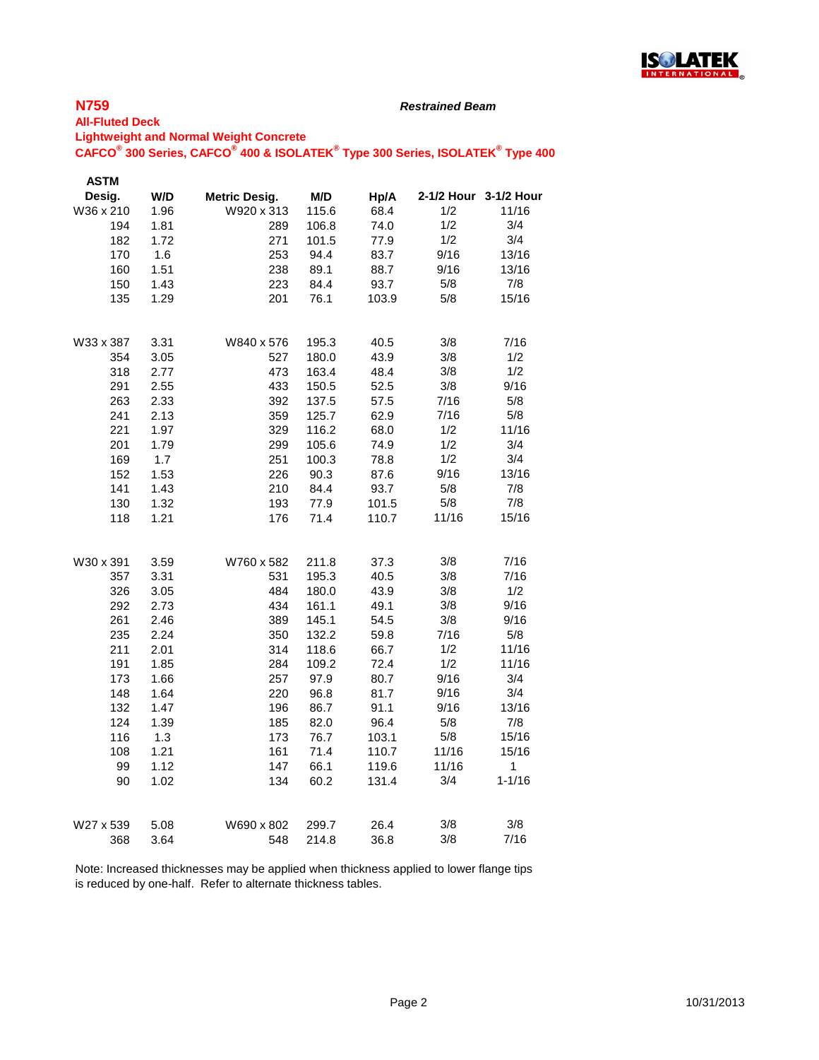

#### *Restrained Beam*

#### **All-Fluted Deck Lightweight and Normal Weight Concrete**

**CAFCO® 300 Series, CAFCO® 400 & ISOLATEK® Type 300 Series, ISOLATEK® Type 400**

| <b>ASTM</b> |      |                      |       |       |       |                       |
|-------------|------|----------------------|-------|-------|-------|-----------------------|
| Desig.      | W/D  | <b>Metric Desig.</b> | M/D   | Hp/A  |       | 2-1/2 Hour 3-1/2 Hour |
| W36 x 210   | 1.96 | W920 x 313           | 115.6 | 68.4  | 1/2   | 11/16                 |
| 194         | 1.81 | 289                  | 106.8 | 74.0  | 1/2   | 3/4                   |
| 182         | 1.72 | 271                  | 101.5 | 77.9  | 1/2   | 3/4                   |
| 170         | 1.6  | 253                  | 94.4  | 83.7  | 9/16  | 13/16                 |
| 160         | 1.51 | 238                  | 89.1  | 88.7  | 9/16  | 13/16                 |
| 150         | 1.43 | 223                  | 84.4  | 93.7  | 5/8   | 7/8                   |
| 135         | 1.29 | 201                  | 76.1  | 103.9 | $5/8$ | 15/16                 |
|             |      |                      |       |       |       |                       |
| W33 x 387   | 3.31 | W840 x 576           | 195.3 | 40.5  | 3/8   | 7/16                  |
| 354         | 3.05 | 527                  | 180.0 | 43.9  | 3/8   | 1/2                   |
| 318         | 2.77 | 473                  | 163.4 | 48.4  | 3/8   | 1/2                   |
| 291         | 2.55 | 433                  | 150.5 | 52.5  | 3/8   | 9/16                  |
| 263         | 2.33 | 392                  | 137.5 | 57.5  | 7/16  | 5/8                   |
| 241         | 2.13 | 359                  | 125.7 | 62.9  | 7/16  | 5/8                   |
| 221         | 1.97 | 329                  | 116.2 | 68.0  | 1/2   | 11/16                 |
| 201         | 1.79 | 299                  | 105.6 | 74.9  | 1/2   | 3/4                   |
| 169         | 1.7  | 251                  | 100.3 | 78.8  | 1/2   | 3/4                   |
| 152         | 1.53 | 226                  | 90.3  | 87.6  | 9/16  | 13/16                 |
| 141         | 1.43 | 210                  | 84.4  | 93.7  | 5/8   | 7/8                   |
| 130         | 1.32 | 193                  | 77.9  | 101.5 | 5/8   | 7/8                   |
| 118         | 1.21 | 176                  | 71.4  | 110.7 | 11/16 | 15/16                 |
| W30 x 391   | 3.59 | W760 x 582           | 211.8 | 37.3  | 3/8   | 7/16                  |
| 357         | 3.31 | 531                  | 195.3 | 40.5  | 3/8   | 7/16                  |
| 326         | 3.05 | 484                  | 180.0 | 43.9  | 3/8   | 1/2                   |
| 292         | 2.73 | 434                  | 161.1 | 49.1  | 3/8   | 9/16                  |
| 261         | 2.46 | 389                  | 145.1 | 54.5  | 3/8   | 9/16                  |
| 235         | 2.24 | 350                  | 132.2 | 59.8  | 7/16  | 5/8                   |
| 211         | 2.01 | 314                  | 118.6 | 66.7  | 1/2   | 11/16                 |
| 191         | 1.85 | 284                  | 109.2 | 72.4  | 1/2   | 11/16                 |
| 173         | 1.66 | 257                  | 97.9  | 80.7  | 9/16  | 3/4                   |
| 148         | 1.64 | 220                  | 96.8  | 81.7  | 9/16  | 3/4                   |
| 132         | 1.47 | 196                  | 86.7  | 91.1  | 9/16  | 13/16                 |
| 124         | 1.39 | 185                  | 82.0  | 96.4  | 5/8   | 7/8                   |
| 116         | 1.3  | 173                  | 76.7  | 103.1 | $5/8$ | 15/16                 |
| 108         | 1.21 | 161                  | 71.4  | 110.7 | 11/16 | 15/16                 |
| 99          | 1.12 | 147                  | 66.1  | 119.6 | 11/16 | 1                     |
| 90          |      | 134                  |       |       | 3/4   | $1 - 1/16$            |
|             | 1.02 |                      | 60.2  | 131.4 |       |                       |
| W27 x 539   | 5.08 | W690 x 802           | 299.7 | 26.4  | 3/8   | 3/8                   |
| 368         | 3.64 | 548                  | 214.8 | 36.8  | 3/8   | 7/16                  |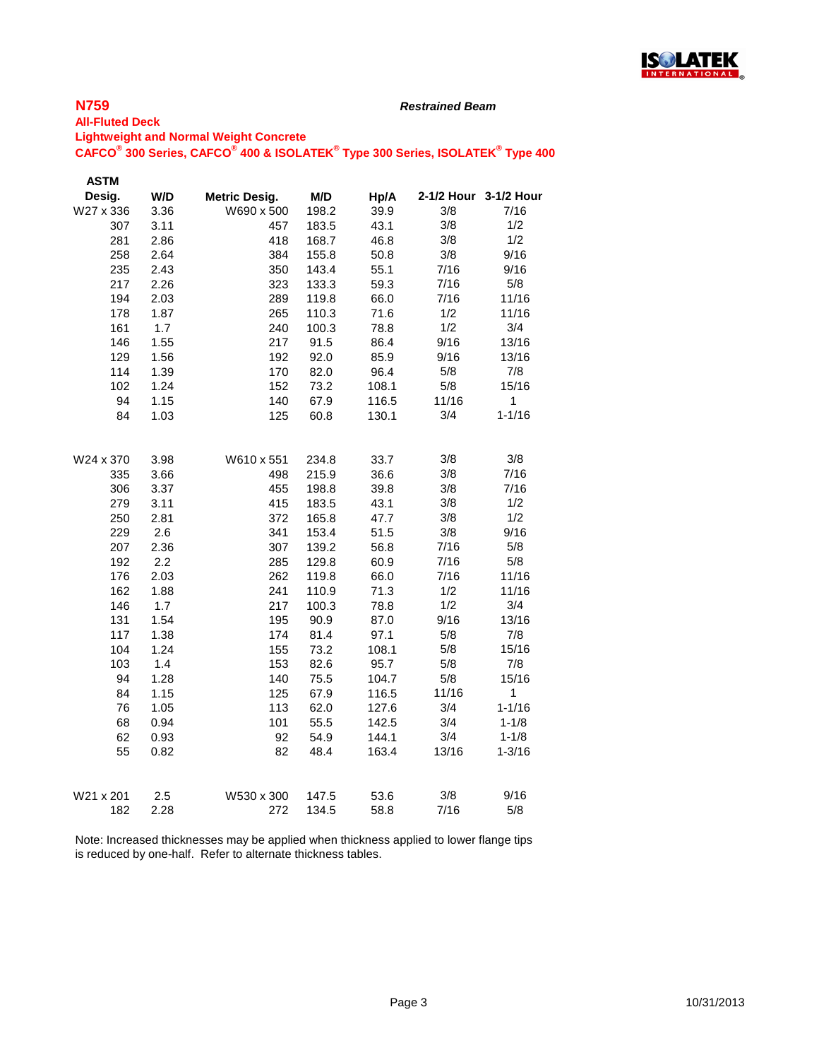

#### *Restrained Beam*

#### **All-Fluted Deck Lightweight and Normal Weight Concrete**

#### **CAFCO® 300 Series, CAFCO® 400 & ISOLATEK® Type 300 Series, ISOLATEK® Type 400**

| <b>ASTM</b> |      |                      |       |       |       |                       |
|-------------|------|----------------------|-------|-------|-------|-----------------------|
| Desig.      | W/D  | <b>Metric Desig.</b> | M/D   | Hp/A  |       | 2-1/2 Hour 3-1/2 Hour |
| W27 x 336   | 3.36 | W690 x 500           | 198.2 | 39.9  | 3/8   | 7/16                  |
| 307         | 3.11 | 457                  | 183.5 | 43.1  | 3/8   | 1/2                   |
| 281         | 2.86 | 418                  | 168.7 | 46.8  | 3/8   | 1/2                   |
| 258         | 2.64 | 384                  | 155.8 | 50.8  | 3/8   | 9/16                  |
| 235         | 2.43 | 350                  | 143.4 | 55.1  | 7/16  | 9/16                  |
| 217         | 2.26 | 323                  | 133.3 | 59.3  | 7/16  | 5/8                   |
| 194         | 2.03 | 289                  | 119.8 | 66.0  | 7/16  | 11/16                 |
| 178         | 1.87 | 265                  | 110.3 | 71.6  | 1/2   | 11/16                 |
| 161         | 1.7  | 240                  | 100.3 | 78.8  | 1/2   | 3/4                   |
| 146         | 1.55 | 217                  | 91.5  | 86.4  | 9/16  | 13/16                 |
| 129         | 1.56 | 192                  | 92.0  | 85.9  | 9/16  | 13/16                 |
| 114         | 1.39 | 170                  | 82.0  | 96.4  | 5/8   | 7/8                   |
| 102         | 1.24 | 152                  | 73.2  | 108.1 | 5/8   | 15/16                 |
| 94          | 1.15 | 140                  | 67.9  | 116.5 | 11/16 | $\mathbf{1}$          |
| 84          | 1.03 | 125                  | 60.8  | 130.1 | 3/4   | $1 - 1/16$            |
|             |      |                      |       |       |       |                       |
| W24 x 370   | 3.98 | W610 x 551           | 234.8 | 33.7  | 3/8   | 3/8                   |
| 335         | 3.66 | 498                  | 215.9 | 36.6  | 3/8   | 7/16                  |
| 306         | 3.37 | 455                  | 198.8 | 39.8  | 3/8   | 7/16                  |
| 279         | 3.11 | 415                  | 183.5 | 43.1  | 3/8   | 1/2                   |
| 250         | 2.81 | 372                  | 165.8 | 47.7  | 3/8   | 1/2                   |
| 229         | 2.6  | 341                  | 153.4 | 51.5  | 3/8   | 9/16                  |
| 207         | 2.36 | 307                  | 139.2 | 56.8  | 7/16  | 5/8                   |
| 192         | 2.2  | 285                  | 129.8 | 60.9  | 7/16  | 5/8                   |
| 176         | 2.03 | 262                  | 119.8 | 66.0  | 7/16  | 11/16                 |
| 162         | 1.88 | 241                  | 110.9 | 71.3  | 1/2   | 11/16                 |
| 146         | 1.7  | 217                  | 100.3 | 78.8  | 1/2   | 3/4                   |
| 131         | 1.54 | 195                  | 90.9  | 87.0  | 9/16  | 13/16                 |
| 117         | 1.38 | 174                  | 81.4  | 97.1  | 5/8   | 7/8                   |
| 104         | 1.24 | 155                  | 73.2  | 108.1 | 5/8   | 15/16                 |
| 103         | 1.4  | 153                  | 82.6  | 95.7  | 5/8   | 7/8                   |
| 94          | 1.28 | 140                  | 75.5  | 104.7 | 5/8   | 15/16                 |
| 84          | 1.15 | 125                  | 67.9  | 116.5 | 11/16 | $\mathbf{1}$          |
| 76          | 1.05 | 113                  | 62.0  | 127.6 | 3/4   | $1 - 1/16$            |
| 68          | 0.94 | 101                  | 55.5  | 142.5 | 3/4   | $1 - 1/8$             |
| 62          | 0.93 | 92                   | 54.9  | 144.1 | 3/4   | $1 - 1/8$             |
| 55          | 0.82 | 82                   | 48.4  | 163.4 | 13/16 | 1-3/16                |
|             |      |                      |       |       |       |                       |
| W21 x 201   | 2.5  | W530 x 300           | 147.5 | 53.6  | 3/8   | 9/16                  |
| 182         | 2.28 | 272                  | 134.5 | 58.8  | 7/16  | 5/8                   |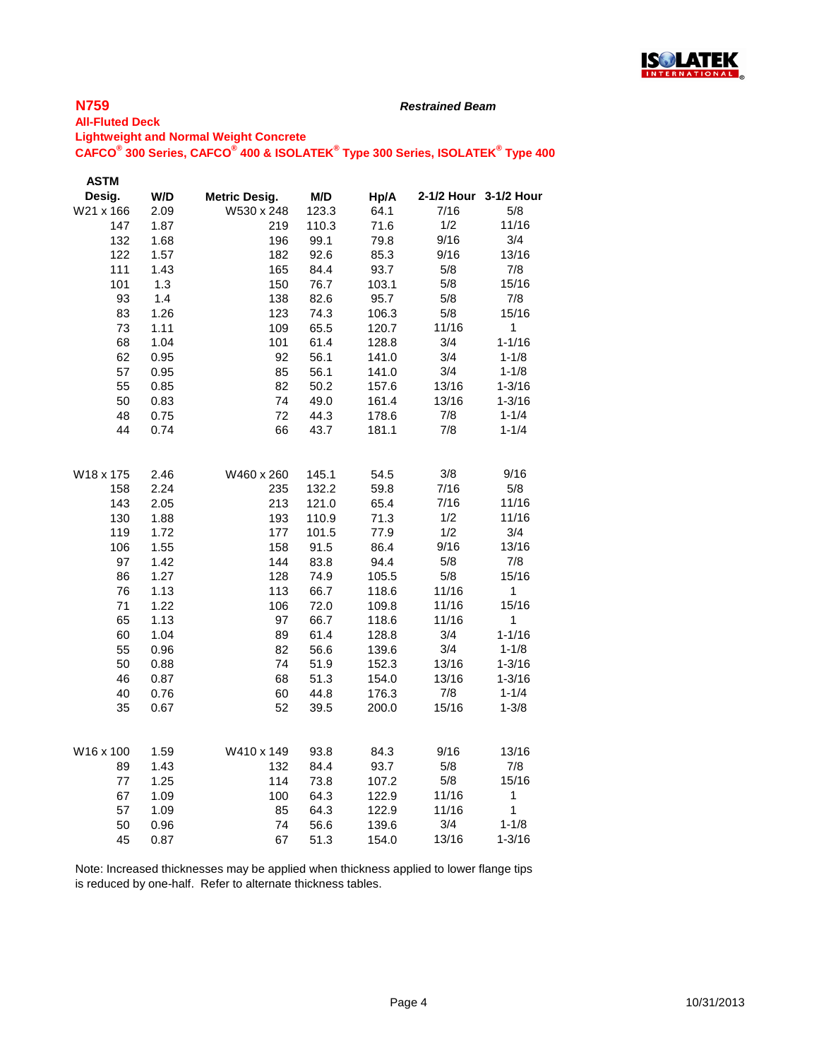

#### *Restrained Beam*

#### **All-Fluted Deck Lightweight and Normal Weight Concrete**

**CAFCO® 300 Series, CAFCO® 400 & ISOLATEK® Type 300 Series, ISOLATEK® Type 400**

| W/D<br><b>Metric Desig.</b><br>M/D<br>2-1/2 Hour 3-1/2 Hour<br>Desig.<br>Hp/A<br>W21 x 166<br>2.09<br>W530 x 248<br>123.3<br>64.1<br>7/16<br>5/8<br>147<br>1/2<br>11/16<br>1.87<br>219<br>110.3<br>71.6<br>9/16<br>3/4<br>132<br>1.68<br>196<br>99.1<br>79.8<br>13/16<br>122<br>1.57<br>182<br>92.6<br>85.3<br>9/16<br>111<br>$5/8$<br>7/8<br>1.43<br>165<br>84.4<br>93.7<br>101<br>150<br>76.7<br>103.1<br>5/8<br>15/16<br>1.3<br>5/8<br>93<br>7/8<br>1.4<br>138<br>82.6<br>95.7<br>83<br>1.26<br>123<br>74.3<br>5/8<br>15/16<br>106.3<br>73<br>1.11<br>109<br>120.7<br>11/16<br>1<br>65.5<br>68<br>1.04<br>101<br>3/4<br>$1 - 1/16$<br>61.4<br>128.8<br>3/4<br>62<br>92<br>56.1<br>$1 - 1/8$<br>0.95<br>141.0<br>57<br>0.95<br>85<br>56.1<br>3/4<br>$1 - 1/8$<br>141.0<br>13/16<br>55<br>0.85<br>82<br>50.2<br>$1 - 3/16$<br>157.6<br>13/16<br>50<br>0.83<br>74<br>49.0<br>161.4<br>$1 - 3/16$<br>72<br>7/8<br>$1 - 1/4$<br>48<br>0.75<br>44.3<br>178.6<br>66<br>44<br>0.74<br>43.7<br>181.1<br>7/8<br>$1 - 1/4$<br>2.46<br>W460 x 260<br>145.1<br>3/8<br>9/16<br>W18 x 175<br>54.5<br>2.24<br>7/16<br>5/8<br>158<br>235<br>132.2<br>59.8<br>7/16<br>11/16<br>143<br>2.05<br>213<br>121.0<br>65.4<br>1/2<br>11/16<br>130<br>1.88<br>193<br>110.9<br>71.3<br>119<br>1.72<br>177<br>101.5<br>77.9<br>1/2<br>3/4<br>106<br>1.55<br>158<br>91.5<br>86.4<br>9/16<br>13/16<br>97<br>1.42<br>144<br>83.8<br>94.4<br>5/8<br>7/8<br>1.27<br>74.9<br>5/8<br>15/16<br>86<br>128<br>105.5<br>76<br>113<br>11/16<br>1<br>1.13<br>66.7<br>118.6<br>15/16<br>1.22<br>11/16<br>71<br>106<br>72.0<br>109.8<br>65<br>1.13<br>97<br>11/16<br>1<br>66.7<br>118.6<br>60<br>1.04<br>89<br>61.4<br>128.8<br>3/4<br>$1 - 1/16$<br>82<br>55<br>0.96<br>56.6<br>139.6<br>3/4<br>$1 - 1/8$<br>74<br>13/16<br>50<br>0.88<br>51.9<br>152.3<br>$1 - 3/16$<br>46<br>68<br>51.3<br>154.0<br>13/16<br>$1 - 3/16$<br>0.87<br>7/8<br>$1 - 1/4$<br>40<br>0.76<br>60<br>44.8<br>176.3<br>15/16<br>$1 - 3/8$<br>35<br>0.67<br>52<br>39.5<br>200.0<br>W16 x 100<br>1.59<br>W410 x 149<br>93.8<br>9/16<br>13/16<br>84.3<br>1.43<br>84.4<br>5/8<br>7/8<br>89<br>132<br>93.7<br>15/16<br>114<br>5/8<br>77<br>1.25<br>73.8<br>107.2<br>11/16<br>67<br>1.09<br>100<br>64.3<br>122.9<br>1<br>11/16<br>1<br>57<br>1.09<br>85<br>64.3<br>122.9<br>$1 - 1/8$<br>3/4<br>50<br>0.96<br>74<br>56.6<br>139.6<br>45<br>13/16<br>$1 - 3/16$<br>0.87<br>67<br>51.3<br>154.0 | <b>ASTM</b> |  |  |  |
|------------------------------------------------------------------------------------------------------------------------------------------------------------------------------------------------------------------------------------------------------------------------------------------------------------------------------------------------------------------------------------------------------------------------------------------------------------------------------------------------------------------------------------------------------------------------------------------------------------------------------------------------------------------------------------------------------------------------------------------------------------------------------------------------------------------------------------------------------------------------------------------------------------------------------------------------------------------------------------------------------------------------------------------------------------------------------------------------------------------------------------------------------------------------------------------------------------------------------------------------------------------------------------------------------------------------------------------------------------------------------------------------------------------------------------------------------------------------------------------------------------------------------------------------------------------------------------------------------------------------------------------------------------------------------------------------------------------------------------------------------------------------------------------------------------------------------------------------------------------------------------------------------------------------------------------------------------------------------------------------------------------------------------------------------------------------------------------------------------------------------------------------------------------------------------------------------------------------------------------------------------------------------------------------------------------------------------------------------------------------------------------------------------------------|-------------|--|--|--|
|                                                                                                                                                                                                                                                                                                                                                                                                                                                                                                                                                                                                                                                                                                                                                                                                                                                                                                                                                                                                                                                                                                                                                                                                                                                                                                                                                                                                                                                                                                                                                                                                                                                                                                                                                                                                                                                                                                                                                                                                                                                                                                                                                                                                                                                                                                                                                                                                                        |             |  |  |  |
|                                                                                                                                                                                                                                                                                                                                                                                                                                                                                                                                                                                                                                                                                                                                                                                                                                                                                                                                                                                                                                                                                                                                                                                                                                                                                                                                                                                                                                                                                                                                                                                                                                                                                                                                                                                                                                                                                                                                                                                                                                                                                                                                                                                                                                                                                                                                                                                                                        |             |  |  |  |
|                                                                                                                                                                                                                                                                                                                                                                                                                                                                                                                                                                                                                                                                                                                                                                                                                                                                                                                                                                                                                                                                                                                                                                                                                                                                                                                                                                                                                                                                                                                                                                                                                                                                                                                                                                                                                                                                                                                                                                                                                                                                                                                                                                                                                                                                                                                                                                                                                        |             |  |  |  |
|                                                                                                                                                                                                                                                                                                                                                                                                                                                                                                                                                                                                                                                                                                                                                                                                                                                                                                                                                                                                                                                                                                                                                                                                                                                                                                                                                                                                                                                                                                                                                                                                                                                                                                                                                                                                                                                                                                                                                                                                                                                                                                                                                                                                                                                                                                                                                                                                                        |             |  |  |  |
|                                                                                                                                                                                                                                                                                                                                                                                                                                                                                                                                                                                                                                                                                                                                                                                                                                                                                                                                                                                                                                                                                                                                                                                                                                                                                                                                                                                                                                                                                                                                                                                                                                                                                                                                                                                                                                                                                                                                                                                                                                                                                                                                                                                                                                                                                                                                                                                                                        |             |  |  |  |
|                                                                                                                                                                                                                                                                                                                                                                                                                                                                                                                                                                                                                                                                                                                                                                                                                                                                                                                                                                                                                                                                                                                                                                                                                                                                                                                                                                                                                                                                                                                                                                                                                                                                                                                                                                                                                                                                                                                                                                                                                                                                                                                                                                                                                                                                                                                                                                                                                        |             |  |  |  |
|                                                                                                                                                                                                                                                                                                                                                                                                                                                                                                                                                                                                                                                                                                                                                                                                                                                                                                                                                                                                                                                                                                                                                                                                                                                                                                                                                                                                                                                                                                                                                                                                                                                                                                                                                                                                                                                                                                                                                                                                                                                                                                                                                                                                                                                                                                                                                                                                                        |             |  |  |  |
|                                                                                                                                                                                                                                                                                                                                                                                                                                                                                                                                                                                                                                                                                                                                                                                                                                                                                                                                                                                                                                                                                                                                                                                                                                                                                                                                                                                                                                                                                                                                                                                                                                                                                                                                                                                                                                                                                                                                                                                                                                                                                                                                                                                                                                                                                                                                                                                                                        |             |  |  |  |
|                                                                                                                                                                                                                                                                                                                                                                                                                                                                                                                                                                                                                                                                                                                                                                                                                                                                                                                                                                                                                                                                                                                                                                                                                                                                                                                                                                                                                                                                                                                                                                                                                                                                                                                                                                                                                                                                                                                                                                                                                                                                                                                                                                                                                                                                                                                                                                                                                        |             |  |  |  |
|                                                                                                                                                                                                                                                                                                                                                                                                                                                                                                                                                                                                                                                                                                                                                                                                                                                                                                                                                                                                                                                                                                                                                                                                                                                                                                                                                                                                                                                                                                                                                                                                                                                                                                                                                                                                                                                                                                                                                                                                                                                                                                                                                                                                                                                                                                                                                                                                                        |             |  |  |  |
|                                                                                                                                                                                                                                                                                                                                                                                                                                                                                                                                                                                                                                                                                                                                                                                                                                                                                                                                                                                                                                                                                                                                                                                                                                                                                                                                                                                                                                                                                                                                                                                                                                                                                                                                                                                                                                                                                                                                                                                                                                                                                                                                                                                                                                                                                                                                                                                                                        |             |  |  |  |
|                                                                                                                                                                                                                                                                                                                                                                                                                                                                                                                                                                                                                                                                                                                                                                                                                                                                                                                                                                                                                                                                                                                                                                                                                                                                                                                                                                                                                                                                                                                                                                                                                                                                                                                                                                                                                                                                                                                                                                                                                                                                                                                                                                                                                                                                                                                                                                                                                        |             |  |  |  |
|                                                                                                                                                                                                                                                                                                                                                                                                                                                                                                                                                                                                                                                                                                                                                                                                                                                                                                                                                                                                                                                                                                                                                                                                                                                                                                                                                                                                                                                                                                                                                                                                                                                                                                                                                                                                                                                                                                                                                                                                                                                                                                                                                                                                                                                                                                                                                                                                                        |             |  |  |  |
|                                                                                                                                                                                                                                                                                                                                                                                                                                                                                                                                                                                                                                                                                                                                                                                                                                                                                                                                                                                                                                                                                                                                                                                                                                                                                                                                                                                                                                                                                                                                                                                                                                                                                                                                                                                                                                                                                                                                                                                                                                                                                                                                                                                                                                                                                                                                                                                                                        |             |  |  |  |
|                                                                                                                                                                                                                                                                                                                                                                                                                                                                                                                                                                                                                                                                                                                                                                                                                                                                                                                                                                                                                                                                                                                                                                                                                                                                                                                                                                                                                                                                                                                                                                                                                                                                                                                                                                                                                                                                                                                                                                                                                                                                                                                                                                                                                                                                                                                                                                                                                        |             |  |  |  |
|                                                                                                                                                                                                                                                                                                                                                                                                                                                                                                                                                                                                                                                                                                                                                                                                                                                                                                                                                                                                                                                                                                                                                                                                                                                                                                                                                                                                                                                                                                                                                                                                                                                                                                                                                                                                                                                                                                                                                                                                                                                                                                                                                                                                                                                                                                                                                                                                                        |             |  |  |  |
|                                                                                                                                                                                                                                                                                                                                                                                                                                                                                                                                                                                                                                                                                                                                                                                                                                                                                                                                                                                                                                                                                                                                                                                                                                                                                                                                                                                                                                                                                                                                                                                                                                                                                                                                                                                                                                                                                                                                                                                                                                                                                                                                                                                                                                                                                                                                                                                                                        |             |  |  |  |
|                                                                                                                                                                                                                                                                                                                                                                                                                                                                                                                                                                                                                                                                                                                                                                                                                                                                                                                                                                                                                                                                                                                                                                                                                                                                                                                                                                                                                                                                                                                                                                                                                                                                                                                                                                                                                                                                                                                                                                                                                                                                                                                                                                                                                                                                                                                                                                                                                        |             |  |  |  |
|                                                                                                                                                                                                                                                                                                                                                                                                                                                                                                                                                                                                                                                                                                                                                                                                                                                                                                                                                                                                                                                                                                                                                                                                                                                                                                                                                                                                                                                                                                                                                                                                                                                                                                                                                                                                                                                                                                                                                                                                                                                                                                                                                                                                                                                                                                                                                                                                                        |             |  |  |  |
|                                                                                                                                                                                                                                                                                                                                                                                                                                                                                                                                                                                                                                                                                                                                                                                                                                                                                                                                                                                                                                                                                                                                                                                                                                                                                                                                                                                                                                                                                                                                                                                                                                                                                                                                                                                                                                                                                                                                                                                                                                                                                                                                                                                                                                                                                                                                                                                                                        |             |  |  |  |
|                                                                                                                                                                                                                                                                                                                                                                                                                                                                                                                                                                                                                                                                                                                                                                                                                                                                                                                                                                                                                                                                                                                                                                                                                                                                                                                                                                                                                                                                                                                                                                                                                                                                                                                                                                                                                                                                                                                                                                                                                                                                                                                                                                                                                                                                                                                                                                                                                        |             |  |  |  |
|                                                                                                                                                                                                                                                                                                                                                                                                                                                                                                                                                                                                                                                                                                                                                                                                                                                                                                                                                                                                                                                                                                                                                                                                                                                                                                                                                                                                                                                                                                                                                                                                                                                                                                                                                                                                                                                                                                                                                                                                                                                                                                                                                                                                                                                                                                                                                                                                                        |             |  |  |  |
|                                                                                                                                                                                                                                                                                                                                                                                                                                                                                                                                                                                                                                                                                                                                                                                                                                                                                                                                                                                                                                                                                                                                                                                                                                                                                                                                                                                                                                                                                                                                                                                                                                                                                                                                                                                                                                                                                                                                                                                                                                                                                                                                                                                                                                                                                                                                                                                                                        |             |  |  |  |
|                                                                                                                                                                                                                                                                                                                                                                                                                                                                                                                                                                                                                                                                                                                                                                                                                                                                                                                                                                                                                                                                                                                                                                                                                                                                                                                                                                                                                                                                                                                                                                                                                                                                                                                                                                                                                                                                                                                                                                                                                                                                                                                                                                                                                                                                                                                                                                                                                        |             |  |  |  |
|                                                                                                                                                                                                                                                                                                                                                                                                                                                                                                                                                                                                                                                                                                                                                                                                                                                                                                                                                                                                                                                                                                                                                                                                                                                                                                                                                                                                                                                                                                                                                                                                                                                                                                                                                                                                                                                                                                                                                                                                                                                                                                                                                                                                                                                                                                                                                                                                                        |             |  |  |  |
|                                                                                                                                                                                                                                                                                                                                                                                                                                                                                                                                                                                                                                                                                                                                                                                                                                                                                                                                                                                                                                                                                                                                                                                                                                                                                                                                                                                                                                                                                                                                                                                                                                                                                                                                                                                                                                                                                                                                                                                                                                                                                                                                                                                                                                                                                                                                                                                                                        |             |  |  |  |
|                                                                                                                                                                                                                                                                                                                                                                                                                                                                                                                                                                                                                                                                                                                                                                                                                                                                                                                                                                                                                                                                                                                                                                                                                                                                                                                                                                                                                                                                                                                                                                                                                                                                                                                                                                                                                                                                                                                                                                                                                                                                                                                                                                                                                                                                                                                                                                                                                        |             |  |  |  |
|                                                                                                                                                                                                                                                                                                                                                                                                                                                                                                                                                                                                                                                                                                                                                                                                                                                                                                                                                                                                                                                                                                                                                                                                                                                                                                                                                                                                                                                                                                                                                                                                                                                                                                                                                                                                                                                                                                                                                                                                                                                                                                                                                                                                                                                                                                                                                                                                                        |             |  |  |  |
|                                                                                                                                                                                                                                                                                                                                                                                                                                                                                                                                                                                                                                                                                                                                                                                                                                                                                                                                                                                                                                                                                                                                                                                                                                                                                                                                                                                                                                                                                                                                                                                                                                                                                                                                                                                                                                                                                                                                                                                                                                                                                                                                                                                                                                                                                                                                                                                                                        |             |  |  |  |
|                                                                                                                                                                                                                                                                                                                                                                                                                                                                                                                                                                                                                                                                                                                                                                                                                                                                                                                                                                                                                                                                                                                                                                                                                                                                                                                                                                                                                                                                                                                                                                                                                                                                                                                                                                                                                                                                                                                                                                                                                                                                                                                                                                                                                                                                                                                                                                                                                        |             |  |  |  |
|                                                                                                                                                                                                                                                                                                                                                                                                                                                                                                                                                                                                                                                                                                                                                                                                                                                                                                                                                                                                                                                                                                                                                                                                                                                                                                                                                                                                                                                                                                                                                                                                                                                                                                                                                                                                                                                                                                                                                                                                                                                                                                                                                                                                                                                                                                                                                                                                                        |             |  |  |  |
|                                                                                                                                                                                                                                                                                                                                                                                                                                                                                                                                                                                                                                                                                                                                                                                                                                                                                                                                                                                                                                                                                                                                                                                                                                                                                                                                                                                                                                                                                                                                                                                                                                                                                                                                                                                                                                                                                                                                                                                                                                                                                                                                                                                                                                                                                                                                                                                                                        |             |  |  |  |
|                                                                                                                                                                                                                                                                                                                                                                                                                                                                                                                                                                                                                                                                                                                                                                                                                                                                                                                                                                                                                                                                                                                                                                                                                                                                                                                                                                                                                                                                                                                                                                                                                                                                                                                                                                                                                                                                                                                                                                                                                                                                                                                                                                                                                                                                                                                                                                                                                        |             |  |  |  |
|                                                                                                                                                                                                                                                                                                                                                                                                                                                                                                                                                                                                                                                                                                                                                                                                                                                                                                                                                                                                                                                                                                                                                                                                                                                                                                                                                                                                                                                                                                                                                                                                                                                                                                                                                                                                                                                                                                                                                                                                                                                                                                                                                                                                                                                                                                                                                                                                                        |             |  |  |  |
|                                                                                                                                                                                                                                                                                                                                                                                                                                                                                                                                                                                                                                                                                                                                                                                                                                                                                                                                                                                                                                                                                                                                                                                                                                                                                                                                                                                                                                                                                                                                                                                                                                                                                                                                                                                                                                                                                                                                                                                                                                                                                                                                                                                                                                                                                                                                                                                                                        |             |  |  |  |
|                                                                                                                                                                                                                                                                                                                                                                                                                                                                                                                                                                                                                                                                                                                                                                                                                                                                                                                                                                                                                                                                                                                                                                                                                                                                                                                                                                                                                                                                                                                                                                                                                                                                                                                                                                                                                                                                                                                                                                                                                                                                                                                                                                                                                                                                                                                                                                                                                        |             |  |  |  |
|                                                                                                                                                                                                                                                                                                                                                                                                                                                                                                                                                                                                                                                                                                                                                                                                                                                                                                                                                                                                                                                                                                                                                                                                                                                                                                                                                                                                                                                                                                                                                                                                                                                                                                                                                                                                                                                                                                                                                                                                                                                                                                                                                                                                                                                                                                                                                                                                                        |             |  |  |  |
|                                                                                                                                                                                                                                                                                                                                                                                                                                                                                                                                                                                                                                                                                                                                                                                                                                                                                                                                                                                                                                                                                                                                                                                                                                                                                                                                                                                                                                                                                                                                                                                                                                                                                                                                                                                                                                                                                                                                                                                                                                                                                                                                                                                                                                                                                                                                                                                                                        |             |  |  |  |
|                                                                                                                                                                                                                                                                                                                                                                                                                                                                                                                                                                                                                                                                                                                                                                                                                                                                                                                                                                                                                                                                                                                                                                                                                                                                                                                                                                                                                                                                                                                                                                                                                                                                                                                                                                                                                                                                                                                                                                                                                                                                                                                                                                                                                                                                                                                                                                                                                        |             |  |  |  |
|                                                                                                                                                                                                                                                                                                                                                                                                                                                                                                                                                                                                                                                                                                                                                                                                                                                                                                                                                                                                                                                                                                                                                                                                                                                                                                                                                                                                                                                                                                                                                                                                                                                                                                                                                                                                                                                                                                                                                                                                                                                                                                                                                                                                                                                                                                                                                                                                                        |             |  |  |  |
|                                                                                                                                                                                                                                                                                                                                                                                                                                                                                                                                                                                                                                                                                                                                                                                                                                                                                                                                                                                                                                                                                                                                                                                                                                                                                                                                                                                                                                                                                                                                                                                                                                                                                                                                                                                                                                                                                                                                                                                                                                                                                                                                                                                                                                                                                                                                                                                                                        |             |  |  |  |
|                                                                                                                                                                                                                                                                                                                                                                                                                                                                                                                                                                                                                                                                                                                                                                                                                                                                                                                                                                                                                                                                                                                                                                                                                                                                                                                                                                                                                                                                                                                                                                                                                                                                                                                                                                                                                                                                                                                                                                                                                                                                                                                                                                                                                                                                                                                                                                                                                        |             |  |  |  |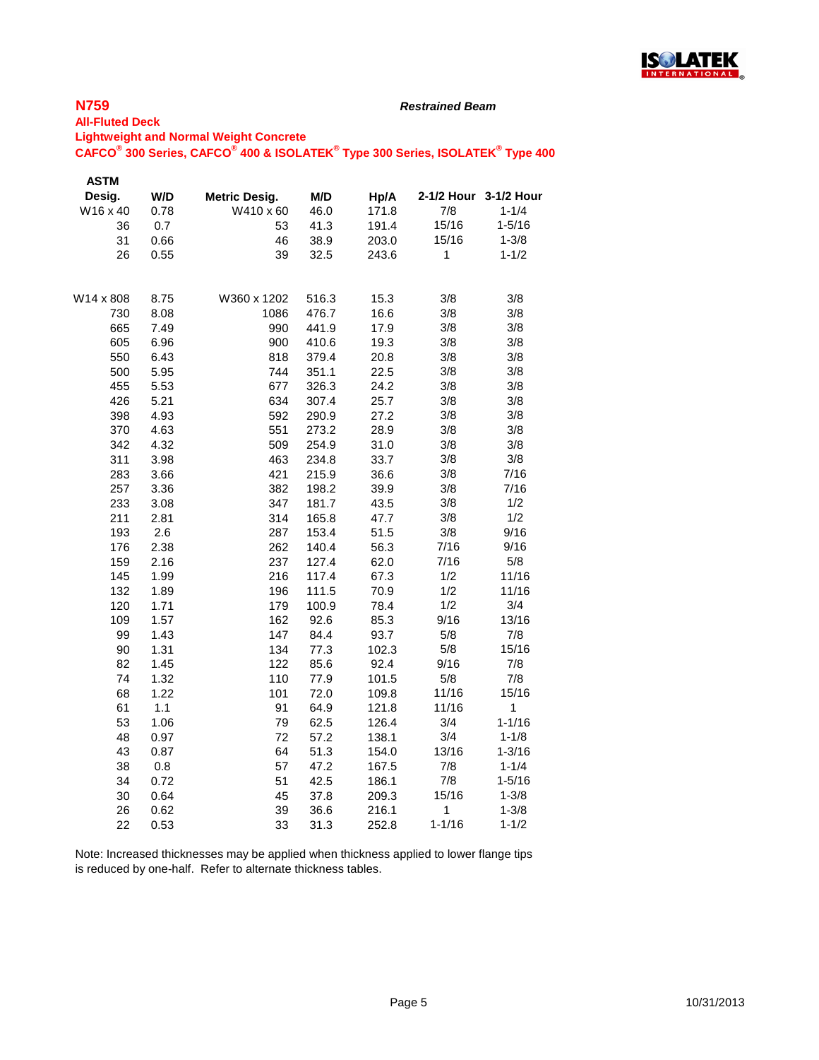

#### *Restrained Beam*

#### **All-Fluted Deck Lightweight and Normal Weight Concrete**

# **CAFCO® 300 Series, CAFCO® 400 & ISOLATEK® Type 300 Series, ISOLATEK® Type 400**

| <b>ASTM</b> |      |               |       |       |              |                       |
|-------------|------|---------------|-------|-------|--------------|-----------------------|
| Desig.      | W/D  | Metric Desig. | M/D   | Hp/A  |              | 2-1/2 Hour 3-1/2 Hour |
| W16 x 40    | 0.78 | W410 x 60     | 46.0  | 171.8 | 7/8          | $1 - 1/4$             |
| 36          | 0.7  | 53            | 41.3  | 191.4 | 15/16        | $1 - 5/16$            |
| 31          | 0.66 | 46            | 38.9  | 203.0 | 15/16        | $1 - 3/8$             |
| 26          | 0.55 | 39            | 32.5  | 243.6 | $\mathbf{1}$ | $1 - 1/2$             |
| W14 x 808   | 8.75 | W360 x 1202   | 516.3 | 15.3  | 3/8          | 3/8                   |
| 730         | 8.08 | 1086          | 476.7 | 16.6  | 3/8          | 3/8                   |
| 665         | 7.49 | 990           | 441.9 | 17.9  | 3/8          | 3/8                   |
| 605         | 6.96 | 900           | 410.6 | 19.3  | 3/8          | 3/8                   |
| 550         | 6.43 | 818           | 379.4 | 20.8  | 3/8          | 3/8                   |
| 500         | 5.95 | 744           | 351.1 | 22.5  | 3/8          | 3/8                   |
| 455         | 5.53 | 677           | 326.3 | 24.2  | 3/8          | 3/8                   |
| 426         | 5.21 | 634           | 307.4 | 25.7  | 3/8          | 3/8                   |
| 398         | 4.93 | 592           | 290.9 | 27.2  | 3/8          | 3/8                   |
| 370         | 4.63 | 551           | 273.2 | 28.9  | 3/8          | 3/8                   |
| 342         | 4.32 | 509           | 254.9 | 31.0  | 3/8          | 3/8                   |
| 311         | 3.98 | 463           | 234.8 | 33.7  | 3/8          | 3/8                   |
| 283         | 3.66 | 421           | 215.9 | 36.6  | 3/8          | 7/16                  |
| 257         | 3.36 | 382           | 198.2 | 39.9  | 3/8          | 7/16                  |
| 233         | 3.08 | 347           | 181.7 | 43.5  | 3/8          | 1/2                   |
| 211         | 2.81 | 314           | 165.8 | 47.7  | 3/8          | 1/2                   |
| 193         | 2.6  | 287           | 153.4 | 51.5  | 3/8          | 9/16                  |
| 176         | 2.38 | 262           | 140.4 | 56.3  | 7/16         | 9/16                  |
| 159         | 2.16 | 237           | 127.4 | 62.0  | 7/16         | 5/8                   |
| 145         | 1.99 | 216           | 117.4 | 67.3  | 1/2          | 11/16                 |
| 132         | 1.89 | 196           | 111.5 | 70.9  | 1/2          | 11/16                 |
| 120         | 1.71 | 179           | 100.9 | 78.4  | 1/2          | 3/4                   |
| 109         | 1.57 | 162           | 92.6  | 85.3  | 9/16         | 13/16                 |
| 99          | 1.43 | 147           | 84.4  | 93.7  | 5/8          | 7/8                   |
| 90          | 1.31 | 134           | 77.3  | 102.3 | 5/8          | 15/16                 |
| 82          | 1.45 | 122           | 85.6  | 92.4  | 9/16         | 7/8                   |
| 74          | 1.32 | 110           | 77.9  | 101.5 | 5/8          | 7/8                   |
| 68          | 1.22 | 101           | 72.0  | 109.8 | 11/16        | 15/16                 |
| 61          | 1.1  | 91            | 64.9  | 121.8 | 11/16        | $\mathbf{1}$          |
| 53          | 1.06 | 79            | 62.5  | 126.4 | 3/4          | $1 - 1/16$            |
| 48          | 0.97 | 72            | 57.2  | 138.1 | 3/4          | $1 - 1/8$             |
| 43          | 0.87 | 64            | 51.3  | 154.0 | 13/16        | $1 - 3/16$            |
| 38          | 0.8  | 57            | 47.2  | 167.5 | 7/8          | $1 - 1/4$             |
| 34          | 0.72 | 51            | 42.5  | 186.1 | 7/8          | $1 - 5/16$            |
| 30          | 0.64 | 45            | 37.8  | 209.3 | 15/16        | $1 - 3/8$             |
| 26          | 0.62 | 39            | 36.6  | 216.1 | 1            | $1 - 3/8$             |
| 22          | 0.53 | 33            | 31.3  | 252.8 | $1 - 1/16$   | $1 - 1/2$             |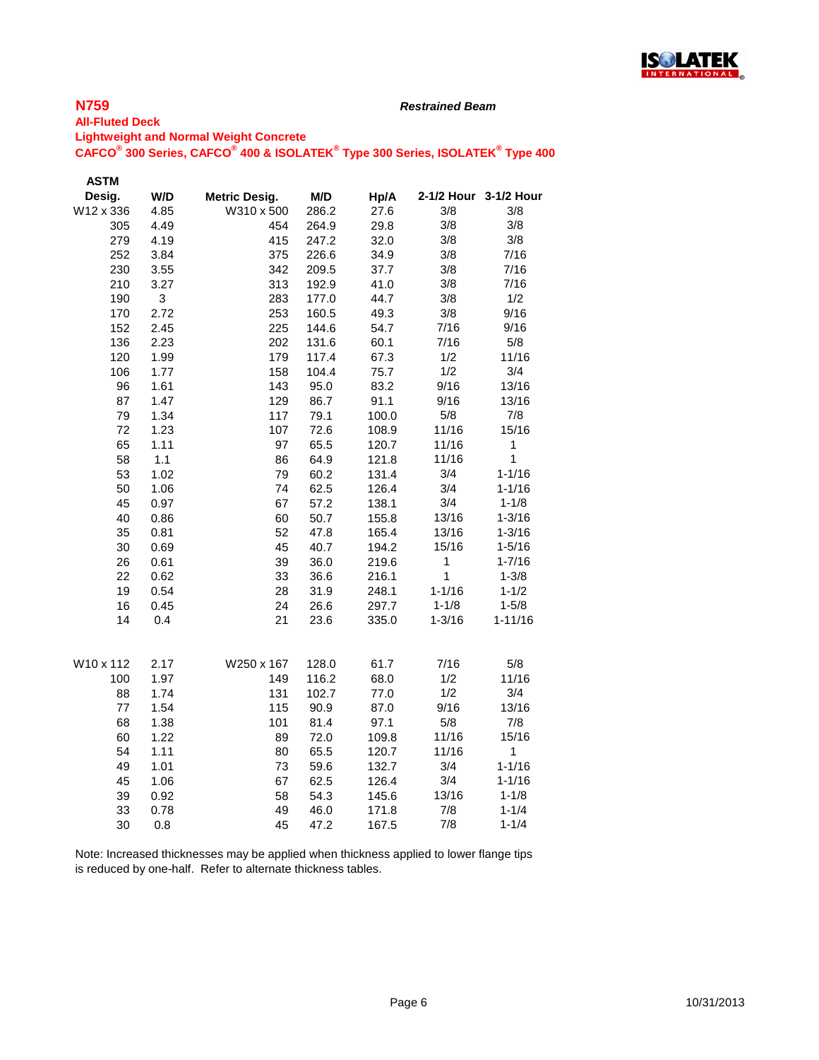

#### *Restrained Beam*

#### **All-Fluted Deck Lightweight and Normal Weight Concrete CAFCO® 300 Series, CAFCO® 400 & ISOLATEK® Type 300 Series, ISOLATEK® Type 400**

| Desig.<br>W/D<br><b>Metric Desig.</b><br>M/D<br>2-1/2 Hour 3-1/2 Hour<br>Hp/A<br>W12 x 336<br>4.85<br>W310 x 500<br>3/8<br>286.2<br>27.6<br>305<br>4.49<br>454<br>264.9<br>29.8<br>3/8 | 3/8<br>3/8 |
|----------------------------------------------------------------------------------------------------------------------------------------------------------------------------------------|------------|
|                                                                                                                                                                                        |            |
|                                                                                                                                                                                        |            |
|                                                                                                                                                                                        |            |
| 3/8<br>3/8<br>279<br>4.19<br>415<br>32.0<br>247.2                                                                                                                                      |            |
| 3/8<br>252<br>3.84<br>375<br>34.9<br>226.6                                                                                                                                             | 7/16       |
| 230<br>3/8<br>3.55<br>342<br>209.5<br>37.7                                                                                                                                             | 7/16       |
| 210<br>313<br>3/8<br>3.27<br>192.9<br>41.0                                                                                                                                             | 7/16       |
| 3/8<br>190<br>3<br>283<br>177.0<br>44.7                                                                                                                                                | 1/2        |
| 170<br>253<br>3/8<br>2.72<br>160.5<br>49.3                                                                                                                                             | 9/16       |
| 152<br>2.45<br>225<br>144.6<br>7/16<br>54.7                                                                                                                                            | 9/16       |
| 136<br>2.23<br>202<br>60.1<br>7/16<br>131.6                                                                                                                                            | 5/8        |
| 120<br>179<br>1/2<br>1.99<br>117.4<br>67.3                                                                                                                                             | 11/16      |
| 1/2<br>106<br>1.77<br>158<br>104.4<br>75.7                                                                                                                                             | 3/4        |
| 9/16<br>96<br>1.61<br>143<br>83.2<br>95.0                                                                                                                                              | 13/16      |
| 87<br>129<br>91.1<br>9/16<br>1.47<br>86.7                                                                                                                                              | 13/16      |
| 79<br>1.34<br>117<br>79.1<br>5/8<br>100.0                                                                                                                                              | 7/8        |
| 72<br>1.23<br>107<br>72.6<br>11/16<br>108.9                                                                                                                                            | 15/16      |
| 65<br>1.11<br>97<br>65.5<br>120.7<br>11/16<br>1                                                                                                                                        |            |
| $\mathbf{1}$<br>58<br>1.1<br>86<br>64.9<br>11/16<br>121.8                                                                                                                              |            |
| 3/4<br>$1 - 1/16$<br>53<br>1.02<br>79<br>60.2<br>131.4                                                                                                                                 |            |
| 3/4<br>50<br>1.06<br>74<br>$1 - 1/16$<br>62.5<br>126.4                                                                                                                                 |            |
| 45<br>67<br>3/4<br>0.97<br>57.2<br>138.1<br>$1 - 1/8$                                                                                                                                  |            |
| 40<br>60<br>50.7<br>13/16<br>$1 - 3/16$<br>0.86<br>155.8                                                                                                                               |            |
| 52<br>35<br>0.81<br>47.8<br>165.4<br>13/16<br>$1 - 3/16$                                                                                                                               |            |
| 45<br>30<br>0.69<br>40.7<br>194.2<br>15/16<br>$1 - 5/16$                                                                                                                               |            |
| 39<br>26<br>0.61<br>36.0<br>219.6<br>1<br>$1 - 7/16$                                                                                                                                   |            |
| 1<br>22<br>33<br>$1 - 3/8$<br>0.62<br>36.6<br>216.1                                                                                                                                    |            |
| 28<br>$1 - 1/16$<br>$1 - 1/2$<br>19<br>0.54<br>31.9<br>248.1                                                                                                                           |            |
| 16<br>24<br>$1 - 1/8$<br>$1 - 5/8$<br>0.45<br>26.6<br>297.7                                                                                                                            |            |
| 14<br>21<br>$1 - 3/16$<br>$1 - 11/16$<br>0.4<br>23.6<br>335.0                                                                                                                          |            |
| 2.17<br>W10 x 112<br>W250 x 167<br>128.0<br>61.7<br>7/16                                                                                                                               | 5/8        |
| 1/2<br>100<br>1.97<br>149<br>116.2<br>68.0                                                                                                                                             | 11/16      |
| 1/2<br>131<br>88<br>1.74<br>102.7<br>77.0                                                                                                                                              | 3/4        |
| 77<br>1.54<br>115<br>9/16<br>90.9<br>87.0                                                                                                                                              | 13/16      |
| 68<br>101<br>5/8<br>1.38<br>81.4<br>97.1                                                                                                                                               | 7/8        |
| 60<br>1.22<br>89<br>11/16<br>72.0<br>109.8                                                                                                                                             | 15/16      |
| 54<br>80<br>$\mathbf{1}$<br>1.11<br>65.5<br>120.7<br>11/16                                                                                                                             |            |
| 49<br>$1 - 1/16$<br>1.01<br>73<br>59.6<br>132.7<br>3/4                                                                                                                                 |            |
| 67<br>3/4<br>$1 - 1/16$<br>45<br>1.06<br>126.4<br>62.5                                                                                                                                 |            |
| 39<br>0.92<br>58<br>13/16<br>$1 - 1/8$<br>54.3<br>145.6                                                                                                                                |            |
| 33<br>49<br>7/8<br>$1 - 1/4$<br>0.78<br>46.0<br>171.8                                                                                                                                  |            |
| 7/8<br>30<br>45<br>$1 - 1/4$<br>0.8<br>47.2<br>167.5                                                                                                                                   |            |